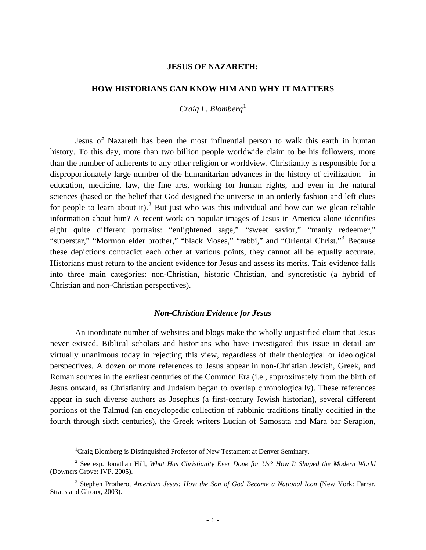## **JESUS OF NAZARETH:**

# **HOW HISTORIANS CAN KNOW HIM AND WHY IT MATTERS**

*Craig L. Blomberg*[1](#page-0-0)

Jesus of Nazareth has been the most influential person to walk this earth in human history. To this day, more than two billion people worldwide claim to be his followers, more than the number of adherents to any other religion or worldview. Christianity is responsible for a disproportionately large number of the humanitarian advances in the history of civilization—in education, medicine, law, the fine arts, working for human rights, and even in the natural sciences (based on the belief that God designed the universe in an orderly fashion and left clues for people to learn about it).<sup>[2](#page-0-1)</sup> But just who was this individual and how can we glean reliable information about him? A recent work on popular images of Jesus in America alone identifies eight quite different portraits: "enlightened sage," "sweet savior," "manly redeemer," "superstar," "Mormon elder brother," "black Moses," "rabbi," and "Oriental Christ."<sup>[3](#page-0-2)</sup> Because these depictions contradict each other at various points, they cannot all be equally accurate. Historians must return to the ancient evidence for Jesus and assess its merits. This evidence falls into three main categories: non-Christian, historic Christian, and syncretistic (a hybrid of Christian and non-Christian perspectives).

## *Non-Christian Evidence for Jesus*

An inordinate number of websites and blogs make the wholly unjustified claim that Jesus never existed. Biblical scholars and historians who have investigated this issue in detail are virtually unanimous today in rejecting this view, regardless of their theological or ideological perspectives. A dozen or more references to Jesus appear in non-Christian Jewish, Greek, and Roman sources in the earliest centuries of the Common Era (i.e., approximately from the birth of Jesus onward, as Christianity and Judaism began to overlap chronologically). These references appear in such diverse authors as Josephus (a first-century Jewish historian), several different portions of the Talmud (an encyclopedic collection of rabbinic traditions finally codified in the fourth through sixth centuries), the Greek writers Lucian of Samosata and Mara bar Serapion,

<sup>&</sup>lt;u>1</u> <sup>1</sup>Craig Blomberg is Distinguished Professor of New Testament at Denver Seminary.

<span id="page-0-1"></span><span id="page-0-0"></span><sup>2</sup> See esp. Jonathan Hill, *What Has Christianity Ever Done for Us? How It Shaped the Modern World* (Downers Grove: IVP, 2005).

<span id="page-0-2"></span><sup>&</sup>lt;sup>3</sup> Stephen Prothero, *American Jesus: How the Son of God Became a National Icon* (New York: Farrar, Straus and Giroux, 2003).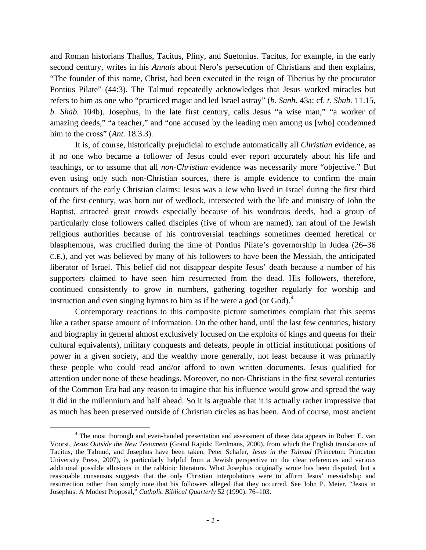and Roman historians Thallus, Tacitus, Pliny, and Suetonius. Tacitus, for example, in the early second century, writes in his *Annals* about Nero's persecution of Christians and then explains, "The founder of this name, Christ, had been executed in the reign of Tiberius by the procurator Pontius Pilate" (44:3). The Talmud repeatedly acknowledges that Jesus worked miracles but refers to him as one who "practiced magic and led Israel astray" (*b. Sanh.* 43a; cf. *t. Shab.* 11.15, *b. Shab.* 104b). Josephus, in the late first century, calls Jesus "a wise man," "a worker of amazing deeds," "a teacher," and "one accused by the leading men among us [who] condemned him to the cross" (*Ant.* 18.3.3).

It is, of course, historically prejudicial to exclude automatically all *Christian* evidence, as if no one who became a follower of Jesus could ever report accurately about his life and teachings, or to assume that all *non-Christian* evidence was necessarily more "objective." But even using only such non-Christian sources, there is ample evidence to confirm the main contours of the early Christian claims: Jesus was a Jew who lived in Israel during the first third of the first century, was born out of wedlock, intersected with the life and ministry of John the Baptist, attracted great crowds especially because of his wondrous deeds, had a group of particularly close followers called disciples (five of whom are named), ran afoul of the Jewish religious authorities because of his controversial teachings sometimes deemed heretical or blasphemous, was crucified during the time of Pontius Pilate's governorship in Judea (26–36 C.E.), and yet was believed by many of his followers to have been the Messiah, the anticipated liberator of Israel. This belief did not disappear despite Jesus' death because a number of his supporters claimed to have seen him resurrected from the dead. His followers, therefore, continued consistently to grow in numbers, gathering together regularly for worship and instruction and even singing hymns to him as if he were a god (or God). $4$ 

Contemporary reactions to this composite picture sometimes complain that this seems like a rather sparse amount of information. On the other hand, until the last few centuries, history and biography in general almost exclusively focused on the exploits of kings and queens (or their cultural equivalents), military conquests and defeats, people in official institutional positions of power in a given society, and the wealthy more generally, not least because it was primarily these people who could read and/or afford to own written documents. Jesus qualified for attention under none of these headings. Moreover, no non-Christians in the first several centuries of the Common Era had any reason to imagine that his influence would grow and spread the way it did in the millennium and half ahead. So it is arguable that it is actually rather impressive that as much has been preserved outside of Christian circles as has been. And of course, most ancient

<span id="page-1-0"></span> $\frac{1}{4}$ <sup>4</sup> The most thorough and even-handed presentation and assessment of these data appears in Robert E. van Voorst, *Jesus Outside the New Testament* (Grand Rapids: Eerdmans, 2000), from which the English translations of Tacitus, the Talmud, and Josephus have been taken. Peter Schäfer, *Jesus in the Talmud* (Princeton: Princeton University Press, 2007), is particularly helpful from a Jewish perspective on the clear references and various additional possible allusions in the rabbinic literature. What Josephus originally wrote has been disputed, but a reasonable consensus suggests that the only Christian interpolations were to affirm Jesus' messiahship and resurrection rather than simply note that his followers alleged that they occurred. See John P. Meier, "Jesus in Josephus: A Modest Proposal," *Catholic Biblical Quarterly* 52 (1990): 76–103.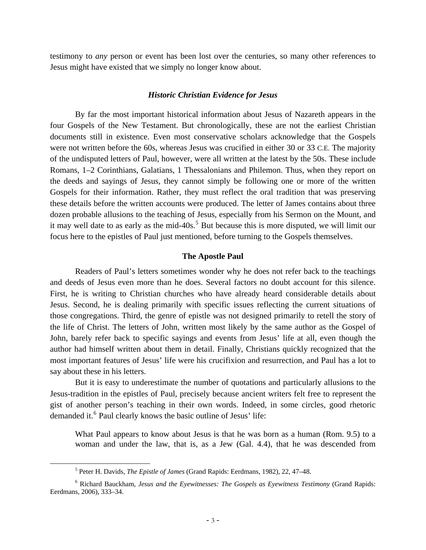testimony to *any* person or event has been lost over the centuries, so many other references to Jesus might have existed that we simply no longer know about.

## *Historic Christian Evidence for Jesus*

By far the most important historical information about Jesus of Nazareth appears in the four Gospels of the New Testament. But chronologically, these are not the earliest Christian documents still in existence. Even most conservative scholars acknowledge that the Gospels were not written before the 60s, whereas Jesus was crucified in either 30 or 33 C.E. The majority of the undisputed letters of Paul, however, were all written at the latest by the 50s. These include Romans, 1–2 Corinthians, Galatians, 1 Thessalonians and Philemon. Thus, when they report on the deeds and sayings of Jesus, they cannot simply be following one or more of the written Gospels for their information. Rather, they must reflect the oral tradition that was preserving these details before the written accounts were produced. The letter of James contains about three dozen probable allusions to the teaching of Jesus, especially from his Sermon on the Mount, and it may well date to as early as the mid-40s.<sup>[5](#page-2-0)</sup> But because this is more disputed, we will limit our focus here to the epistles of Paul just mentioned, before turning to the Gospels themselves.

#### **The Apostle Paul**

Readers of Paul's letters sometimes wonder why he does not refer back to the teachings and deeds of Jesus even more than he does. Several factors no doubt account for this silence. First, he is writing to Christian churches who have already heard considerable details about Jesus. Second, he is dealing primarily with specific issues reflecting the current situations of those congregations. Third, the genre of epistle was not designed primarily to retell the story of the life of Christ. The letters of John, written most likely by the same author as the Gospel of John, barely refer back to specific sayings and events from Jesus' life at all, even though the author had himself written about them in detail. Finally, Christians quickly recognized that the most important features of Jesus' life were his crucifixion and resurrection, and Paul has a lot to say about these in his letters.

But it is easy to underestimate the number of quotations and particularly allusions to the Jesus-tradition in the epistles of Paul, precisely because ancient writers felt free to represent the gist of another person's teaching in their own words. Indeed, in some circles, good rhetoric demanded it.<sup>[6](#page-2-1)</sup> Paul clearly knows the basic outline of Jesus' life:

What Paul appears to know about Jesus is that he was born as a human (Rom. 9.5) to a woman and under the law, that is, as a Jew (Gal. 4.4), that he was descended from

 $rac{1}{5}$ Peter H. Davids, *The Epistle of James* (Grand Rapids: Eerdmans, 1982), 22, 47–48.

<span id="page-2-1"></span><span id="page-2-0"></span><sup>6</sup> Richard Bauckham, *Jesus and the Eyewitnesses: The Gospels as Eyewitness Testimony* (Grand Rapids: Eerdmans, 2006), 333–34.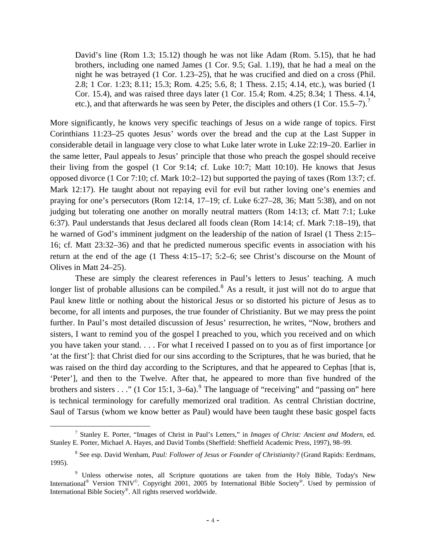David's line (Rom 1.3; 15.12) though he was not like Adam (Rom. 5.15), that he had brothers, including one named James (1 Cor. 9.5; Gal. 1.19), that he had a meal on the night he was betrayed (1 Cor. 1.23–25), that he was crucified and died on a cross (Phil. 2.8; 1 Cor. 1:23; 8.11; 15.3; Rom. 4.25; 5.6, 8; 1 Thess. 2.15; 4.14, etc.), was buried (1 Cor. 15.4), and was raised three days later (1 Cor. 15.4; Rom. 4.25; 8.34; 1 Thess. 4.14, etc.), and that afterwards he was seen by Peter, the disciples and others  $(1 \text{ Cor. } 15.5-7)$  $(1 \text{ Cor. } 15.5-7)$  $(1 \text{ Cor. } 15.5-7)$ .<sup>7</sup>

More significantly, he knows very specific teachings of Jesus on a wide range of topics. First Corinthians 11:23–25 quotes Jesus' words over the bread and the cup at the Last Supper in considerable detail in language very close to what Luke later wrote in Luke 22:19–20. Earlier in the same letter, Paul appeals to Jesus' principle that those who preach the gospel should receive their living from the gospel (1 Cor 9:14; cf. Luke 10:7; Matt 10:10). He knows that Jesus opposed divorce (1 Cor 7:10; cf. Mark 10:2–12) but supported the paying of taxes (Rom 13:7; cf. Mark 12:17). He taught about not repaying evil for evil but rather loving one's enemies and praying for one's persecutors (Rom 12:14, 17–19; cf. Luke 6:27–28, 36; Matt 5:38), and on not judging but tolerating one another on morally neutral matters (Rom 14:13; cf. Matt 7:1; Luke 6:37). Paul understands that Jesus declared all foods clean (Rom 14:14; cf. Mark 7:18–19), that he warned of God's imminent judgment on the leadership of the nation of Israel (1 Thess 2:15– 16; cf. Matt 23:32–36) and that he predicted numerous specific events in association with his return at the end of the age (1 Thess 4:15–17; 5:2–6; see Christ's discourse on the Mount of Olives in Matt 24–25).

These are simply the clearest references in Paul's letters to Jesus' teaching. A much longer list of probable allusions can be compiled.<sup>[8](#page-3-1)</sup> As a result, it just will not do to argue that Paul knew little or nothing about the historical Jesus or so distorted his picture of Jesus as to become, for all intents and purposes, the true founder of Christianity. But we may press the point further. In Paul's most detailed discussion of Jesus' resurrection, he writes, "Now, brothers and sisters, I want to remind you of the gospel I preached to you, which you received and on which you have taken your stand. . . . For what I received I passed on to you as of first importance [or 'at the first']: that Christ died for our sins according to the Scriptures, that he was buried, that he was raised on the third day according to the Scriptures, and that he appeared to Cephas [that is, 'Peter'], and then to the Twelve. After that, he appeared to more than five hundred of the brothers and sisters  $\dots$  " (1 Cor 15:1, 3–6a). The language of "receiving" and "passing on" here is technical terminology for carefully memorized oral tradition. As central Christian doctrine, Saul of Tarsus (whom we know better as Paul) would have been taught these basic gospel facts

<span id="page-3-0"></span> $\begin{array}{c|c}\n\hline\n\end{array}$  Stanley E. Porter, "Images of Christ in Paul's Letters," in *Images of Christ: Ancient and Modern*, ed. Stanley E. Porter, Michael A. Hayes, and David Tombs (Sheffield: Sheffield Academic Press, 1997), 98–99.

<span id="page-3-1"></span><sup>8</sup> See esp. David Wenham, *Paul: Follower of Jesus or Founder of Christianity?* (Grand Rapids: Eerdmans, 1995).

<span id="page-3-2"></span><sup>&</sup>lt;sup>9</sup> Unless otherwise notes, all Scripture quotations are taken from the Holy Bible, Today's New International® Version TNIV©. Copyright 2001, 2005 by International Bible Society®. Used by permission of International Bible Society®. All rights reserved worldwide.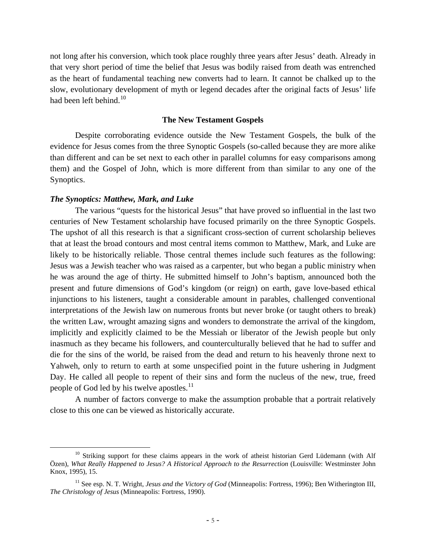not long after his conversion, which took place roughly three years after Jesus' death. Already in that very short period of time the belief that Jesus was bodily raised from death was entrenched as the heart of fundamental teaching new converts had to learn. It cannot be chalked up to the slow, evolutionary development of myth or legend decades after the original facts of Jesus' life had been left behind.<sup>[10](#page-4-0)</sup>

## **The New Testament Gospels**

Despite corroborating evidence outside the New Testament Gospels, the bulk of the evidence for Jesus comes from the three Synoptic Gospels (so-called because they are more alike than different and can be set next to each other in parallel columns for easy comparisons among them) and the Gospel of John, which is more different from than similar to any one of the Synoptics.

## *The Synoptics: Matthew, Mark, and Luke*

The various "quests for the historical Jesus" that have proved so influential in the last two centuries of New Testament scholarship have focused primarily on the three Synoptic Gospels. The upshot of all this research is that a significant cross-section of current scholarship believes that at least the broad contours and most central items common to Matthew, Mark, and Luke are likely to be historically reliable. Those central themes include such features as the following: Jesus was a Jewish teacher who was raised as a carpenter, but who began a public ministry when he was around the age of thirty. He submitted himself to John's baptism, announced both the present and future dimensions of God's kingdom (or reign) on earth, gave love-based ethical injunctions to his listeners, taught a considerable amount in parables, challenged conventional interpretations of the Jewish law on numerous fronts but never broke (or taught others to break) the written Law, wrought amazing signs and wonders to demonstrate the arrival of the kingdom, implicitly and explicitly claimed to be the Messiah or liberator of the Jewish people but only inasmuch as they became his followers, and counterculturally believed that he had to suffer and die for the sins of the world, be raised from the dead and return to his heavenly throne next to Yahweh, only to return to earth at some unspecified point in the future ushering in Judgment Day. He called all people to repent of their sins and form the nucleus of the new, true, freed people of God led by his twelve apostles.<sup>[11](#page-4-1)</sup>

A number of factors converge to make the assumption probable that a portrait relatively close to this one can be viewed as historically accurate.

<span id="page-4-0"></span> $10$  Striking support for these claims appears in the work of atheist historian Gerd Lüdemann (with Alf Özen), *What Really Happened to Jesus? A Historical Approach to the Resurrection* (Louisville: Westminster John Knox, 1995), 15.

<span id="page-4-1"></span><sup>&</sup>lt;sup>11</sup> See esp. N. T. Wright, *Jesus and the Victory of God* (Minneapolis: Fortress, 1996); Ben Witherington III, *The Christology of Jesus* (Minneapolis: Fortress, 1990).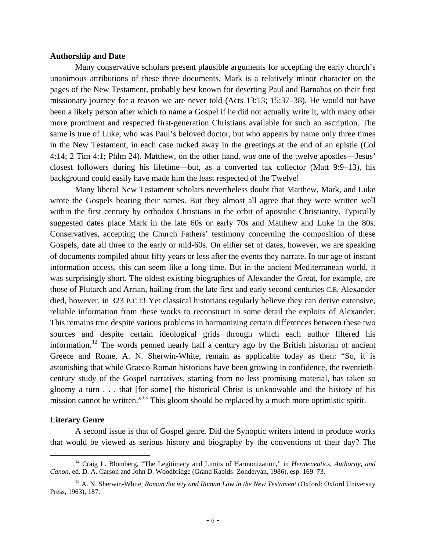#### **Authorship and Date**

Many conservative scholars present plausible arguments for accepting the early church's unanimous attributions of these three documents. Mark is a relatively minor character on the pages of the New Testament, probably best known for deserting Paul and Barnabas on their first missionary journey for a reason we are never told (Acts 13:13; 15:37–38). He would not have been a likely person after which to name a Gospel if he did not actually write it, with many other more prominent and respected first-generation Christians available for such an ascription. The same is true of Luke, who was Paul's beloved doctor, but who appears by name only three times in the New Testament, in each case tucked away in the greetings at the end of an epistle (Col 4:14; 2 Tim 4:1; Phlm 24). Matthew, on the other hand, *was* one of the twelve apostles—Jesus' closest followers during his lifetime—but, as a converted tax collector (Matt 9:9–13), his background could easily have made him the least respected of the Twelve!

Many liberal New Testament scholars nevertheless doubt that Matthew, Mark, and Luke wrote the Gospels bearing their names. But they almost all agree that they were written well within the first century by orthodox Christians in the orbit of apostolic Christianity. Typically suggested dates place Mark in the late 60s or early 70s and Matthew and Luke in the 80s. Conservatives, accepting the Church Fathers' testimony concerning the composition of these Gospels, date all three to the early or mid-60s. On either set of dates, however, we are speaking of documents compiled about fifty years or less after the events they narrate. In our age of instant information access, this can seem like a long time. But in the ancient Mediterranean world, it was surprisingly short. The oldest existing biographies of Alexander the Great, for example, are those of Plutarch and Arrian, hailing from the late first and early second centuries C.E. Alexander died, however, in 323 B.C.E! Yet classical historians regularly believe they can derive extensive, reliable information from these works to reconstruct in some detail the exploits of Alexander. This remains true despite various problems in harmonizing certain differences between these two sources and despite certain ideological grids through which each author filtered his information.<sup>[12](#page-5-0)</sup> The words penned nearly half a century ago by the British historian of ancient Greece and Rome, A. N. Sherwin-White, remain as applicable today as then: "So, it is astonishing that while Graeco-Roman historians have been growing in confidence, the twentiethcentury study of the Gospel narratives, starting from no less promising material, has taken so gloomy a turn . . . that [for some] the historical Christ is unknowable and the history of his mission cannot be written."[13](#page-5-1) This gloom should be replaced by a much more optimistic spirit.

#### **Literary Genre**

A second issue is that of Gospel genre. Did the Synoptic writers intend to produce works that would be viewed as serious history and biography by the conventions of their day? The

<span id="page-5-0"></span> <sup>12</sup> Craig L. Blomberg, "The Legitimacy and Limits of Harmonization," in *Hermeneutics, Authority, and Canon*, ed. D. A. Carson and John D. Woodbridge (Grand Rapids: Zondervan, 1986), esp. 169–73.

<span id="page-5-1"></span><sup>13</sup> A. N. Sherwin-White, *Roman Society and Roman Law in the New Testament* (Oxford: Oxford University Press, 1963), 187.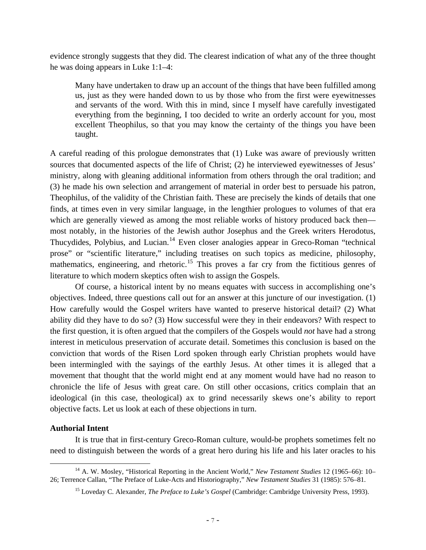evidence strongly suggests that they did. The clearest indication of what any of the three thought he was doing appears in Luke 1:1–4:

Many have undertaken to draw up an account of the things that have been fulfilled among us, just as they were handed down to us by those who from the first were eyewitnesses and servants of the word. With this in mind, since I myself have carefully investigated everything from the beginning, I too decided to write an orderly account for you, most excellent Theophilus, so that you may know the certainty of the things you have been taught.

A careful reading of this prologue demonstrates that (1) Luke was aware of previously written sources that documented aspects of the life of Christ; (2) he interviewed eyewitnesses of Jesus' ministry, along with gleaning additional information from others through the oral tradition; and (3) he made his own selection and arrangement of material in order best to persuade his patron, Theophilus, of the validity of the Christian faith. These are precisely the kinds of details that one finds, at times even in very similar language, in the lengthier prologues to volumes of that era which are generally viewed as among the most reliable works of history produced back then most notably, in the histories of the Jewish author Josephus and the Greek writers Herodotus, Thucydides, Polybius, and Lucian.<sup>[14](#page-6-0)</sup> Even closer analogies appear in Greco-Roman "technical" prose" or "scientific literature," including treatises on such topics as medicine, philosophy, mathematics, engineering, and rhetoric.<sup>[15](#page-6-1)</sup> This proves a far cry from the fictitious genres of literature to which modern skeptics often wish to assign the Gospels.

Of course, a historical intent by no means equates with success in accomplishing one's objectives. Indeed, three questions call out for an answer at this juncture of our investigation. (1) How carefully would the Gospel writers have wanted to preserve historical detail? (2) What ability did they have to do so? (3) How successful were they in their endeavors? With respect to the first question, it is often argued that the compilers of the Gospels would *not* have had a strong interest in meticulous preservation of accurate detail. Sometimes this conclusion is based on the conviction that words of the Risen Lord spoken through early Christian prophets would have been intermingled with the sayings of the earthly Jesus. At other times it is alleged that a movement that thought that the world might end at any moment would have had no reason to chronicle the life of Jesus with great care. On still other occasions, critics complain that an ideological (in this case, theological) ax to grind necessarily skews one's ability to report objective facts. Let us look at each of these objections in turn.

#### **Authorial Intent**

It is true that in first-century Greco-Roman culture, would-be prophets sometimes felt no need to distinguish between the words of a great hero during his life and his later oracles to his

<span id="page-6-1"></span><span id="page-6-0"></span> <sup>14</sup> A. W. Mosley, "Historical Reporting in the Ancient World," *New Testament Studies* 12 (1965–66): 10– 26; Terrence Callan, "The Preface of Luke-Acts and Historiography," *New Testament Studies* 31 (1985): 576–81.

<sup>&</sup>lt;sup>15</sup> Loveday C. Alexander, *The Preface to Luke's Gospel* (Cambridge: Cambridge University Press, 1993).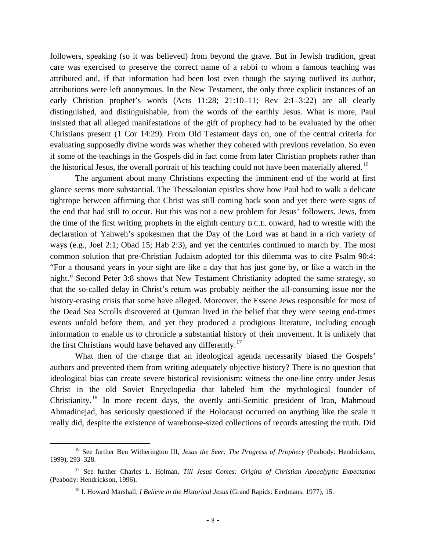followers, speaking (so it was believed) from beyond the grave. But in Jewish tradition, great care was exercised to preserve the correct name of a rabbi to whom a famous teaching was attributed and, if that information had been lost even though the saying outlived its author, attributions were left anonymous. In the New Testament, the only three explicit instances of an early Christian prophet's words (Acts 11:28; 21:10–11; Rev 2:1–3:22) are all clearly distinguished, and distinguishable, from the words of the earthly Jesus. What is more, Paul insisted that all alleged manifestations of the gift of prophecy had to be evaluated by the other Christians present (1 Cor 14:29). From Old Testament days on, one of the central criteria for evaluating supposedly divine words was whether they cohered with previous revelation. So even if some of the teachings in the Gospels did in fact come from later Christian prophets rather than the historical Jesus, the overall portrait of his teaching could not have been materially altered.<sup>[16](#page-7-0)</sup>

The argument about many Christians expecting the imminent end of the world at first glance seems more substantial. The Thessalonian epistles show how Paul had to walk a delicate tightrope between affirming that Christ was still coming back soon and yet there were signs of the end that had still to occur. But this was not a new problem for Jesus' followers. Jews, from the time of the first writing prophets in the eighth century B.C.E. onward, had to wrestle with the declaration of Yahweh's spokesmen that the Day of the Lord was at hand in a rich variety of ways (e.g., Joel 2:1; Obad 15; Hab 2:3), and yet the centuries continued to march by. The most common solution that pre-Christian Judaism adopted for this dilemma was to cite Psalm 90:4: "For a thousand years in your sight are like a day that has just gone by, or like a watch in the night." Second Peter 3:8 shows that New Testament Christianity adopted the same strategy, so that the so-called delay in Christ's return was probably neither the all-consuming issue nor the history-erasing crisis that some have alleged. Moreover, the Essene Jews responsible for most of the Dead Sea Scrolls discovered at Qumran lived in the belief that they were seeing end-times events unfold before them, and yet they produced a prodigious literature, including enough information to enable us to chronicle a substantial history of their movement. It is unlikely that the first Christians would have behaved any differently.<sup>[17](#page-7-1)</sup>

What then of the charge that an ideological agenda necessarily biased the Gospels' authors and prevented them from writing adequately objective history? There is no question that ideological bias can create severe historical revisionism: witness the one-line entry under Jesus Christ in the old Soviet Encyclopedia that labeled him the mythological founder of Christianity.[18](#page-7-2) In more recent days, the overtly anti-Semitic president of Iran, Mahmoud Ahmadinejad, has seriously questioned if the Holocaust occurred on anything like the scale it really did, despite the existence of warehouse-sized collections of records attesting the truth. Did

<span id="page-7-0"></span> <sup>16</sup> See further Ben Witherington III, *Jesus the Seer: The Progress of Prophecy* (Peabody: Hendrickson, 1999), 293–328.

<span id="page-7-2"></span><span id="page-7-1"></span><sup>17</sup> See further Charles L. Holman, *Till Jesus Comes: Origins of Christian Apocalyptic Expectation*  (Peabody: Hendrickson, 1996).

<sup>18</sup> I. Howard Marshall, *I Believe in the Historical Jesus* (Grand Rapids: Eerdmans, 1977), 15.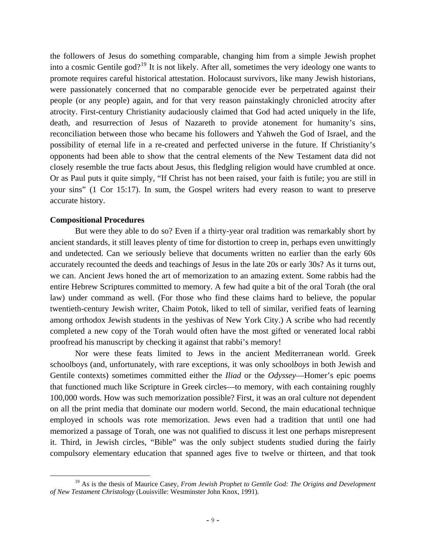the followers of Jesus do something comparable, changing him from a simple Jewish prophet into a cosmic Gentile god?[19](#page-8-0) It is not likely. After all, sometimes the very ideology one wants to promote requires careful historical attestation. Holocaust survivors, like many Jewish historians, were passionately concerned that no comparable genocide ever be perpetrated against their people (or any people) again, and for that very reason painstakingly chronicled atrocity after atrocity. First-century Christianity audaciously claimed that God had acted uniquely in the life, death, and resurrection of Jesus of Nazareth to provide atonement for humanity's sins, reconciliation between those who became his followers and Yahweh the God of Israel, and the possibility of eternal life in a re-created and perfected universe in the future. If Christianity's opponents had been able to show that the central elements of the New Testament data did not closely resemble the true facts about Jesus, this fledgling religion would have crumbled at once. Or as Paul puts it quite simply, "If Christ has not been raised, your faith is futile; you are still in your sins" (1 Cor 15:17). In sum, the Gospel writers had every reason to want to preserve accurate history.

#### **Compositional Procedures**

But were they able to do so? Even if a thirty-year oral tradition was remarkably short by ancient standards, it still leaves plenty of time for distortion to creep in, perhaps even unwittingly and undetected. Can we seriously believe that documents written no earlier than the early 60s accurately recounted the deeds and teachings of Jesus in the late 20s or early 30s? As it turns out, we can. Ancient Jews honed the art of memorization to an amazing extent. Some rabbis had the entire Hebrew Scriptures committed to memory. A few had quite a bit of the oral Torah (the oral law) under command as well. (For those who find these claims hard to believe, the popular twentieth-century Jewish writer, Chaim Potok, liked to tell of similar, verified feats of learning among orthodox Jewish students in the yeshivas of New York City.) A scribe who had recently completed a new copy of the Torah would often have the most gifted or venerated local rabbi proofread his manuscript by checking it against that rabbi's memory!

Nor were these feats limited to Jews in the ancient Mediterranean world. Greek schoolboys (and, unfortunately, with rare exceptions, it was only school*boys* in both Jewish and Gentile contexts) sometimes committed either the *Iliad* or the *Odyssey*—Homer's epic poems that functioned much like Scripture in Greek circles—to memory, with each containing roughly 100,000 words. How was such memorization possible? First, it was an oral culture not dependent on all the print media that dominate our modern world. Second, the main educational technique employed in schools was rote memorization. Jews even had a tradition that until one had memorized a passage of Torah, one was not qualified to discuss it lest one perhaps misrepresent it. Third, in Jewish circles, "Bible" was the only subject students studied during the fairly compulsory elementary education that spanned ages five to twelve or thirteen, and that took

<span id="page-8-0"></span><sup>&</sup>lt;sup>19</sup> As is the thesis of Maurice Casey, *From Jewish Prophet to Gentile God: The Origins and Development of New Testament Christology* (Louisville: Westminster John Knox, 1991).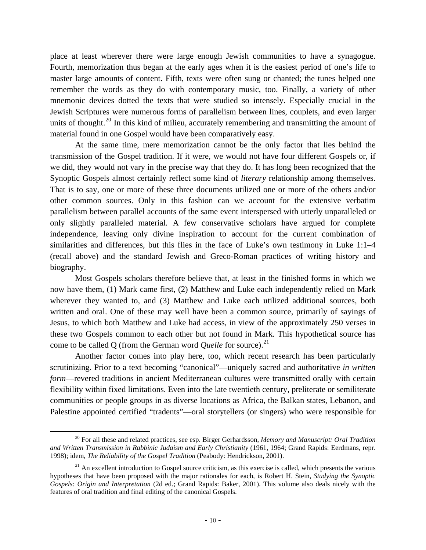place at least wherever there were large enough Jewish communities to have a synagogue. Fourth, memorization thus began at the early ages when it is the easiest period of one's life to master large amounts of content. Fifth, texts were often sung or chanted; the tunes helped one remember the words as they do with contemporary music, too. Finally, a variety of other mnemonic devices dotted the texts that were studied so intensely. Especially crucial in the Jewish Scriptures were numerous forms of parallelism between lines, couplets, and even larger units of thought.<sup>[20](#page-9-0)</sup> In this kind of milieu, accurately remembering and transmitting the amount of material found in one Gospel would have been comparatively easy.

At the same time, mere memorization cannot be the only factor that lies behind the transmission of the Gospel tradition. If it were, we would not have four different Gospels or, if we did, they would not vary in the precise way that they do. It has long been recognized that the Synoptic Gospels almost certainly reflect some kind of *literary* relationship among themselves. That is to say, one or more of these three documents utilized one or more of the others and/or other common sources. Only in this fashion can we account for the extensive verbatim parallelism between parallel accounts of the same event interspersed with utterly unparalleled or only slightly paralleled material. A few conservative scholars have argued for complete independence, leaving only divine inspiration to account for the current combination of similarities and differences, but this flies in the face of Luke's own testimony in Luke 1:1–4 (recall above) and the standard Jewish and Greco-Roman practices of writing history and biography.

Most Gospels scholars therefore believe that, at least in the finished forms in which we now have them, (1) Mark came first, (2) Matthew and Luke each independently relied on Mark wherever they wanted to, and (3) Matthew and Luke each utilized additional sources, both written and oral. One of these may well have been a common source, primarily of sayings of Jesus, to which both Matthew and Luke had access, in view of the approximately 250 verses in these two Gospels common to each other but not found in Mark. This hypothetical source has come to be called Q (from the German word *Quelle* for source).<sup>[21](#page-9-1)</sup>

Another factor comes into play here, too, which recent research has been particularly scrutinizing. Prior to a text becoming "canonical"—uniquely sacred and authoritative *in written form*—revered traditions in ancient Mediterranean cultures were transmitted orally with certain flexibility within fixed limitations. Even into the late twentieth century, preliterate or semiliterate communities or people groups in as diverse locations as Africa, the Balkan states, Lebanon, and Palestine appointed certified "tradents"—oral storytellers (or singers) who were responsible for

<span id="page-9-0"></span> <sup>20</sup> For all these and related practices, see esp. Birger Gerhardsson, *Memory and Manuscript: Oral Tradition and Written Transmission in Rabbinic Judaism and Early Christianity* (1961, 1964; Grand Rapids: Eerdmans, repr. 1998); idem, *The Reliability of the Gospel Tradition* (Peabody: Hendrickson, 2001).

<span id="page-9-1"></span> $2<sup>1</sup>$  An excellent introduction to Gospel source criticism, as this exercise is called, which presents the various hypotheses that have been proposed with the major rationales for each, is Robert H. Stein, *Studying the Synoptic Gospels: Origin and Interpretation* (2d ed.; Grand Rapids: Baker, 2001). This volume also deals nicely with the features of oral tradition and final editing of the canonical Gospels.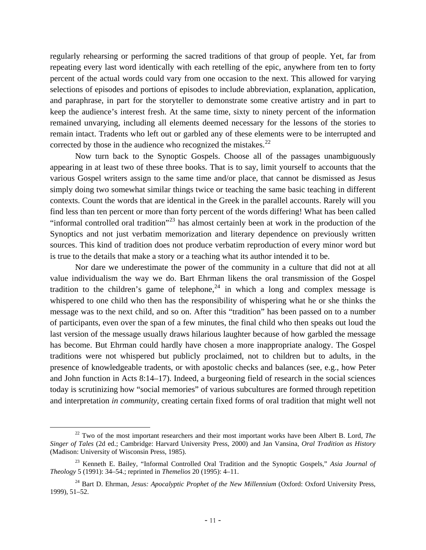regularly rehearsing or performing the sacred traditions of that group of people. Yet, far from repeating every last word identically with each retelling of the epic, anywhere from ten to forty percent of the actual words could vary from one occasion to the next. This allowed for varying selections of episodes and portions of episodes to include abbreviation, explanation, application, and paraphrase, in part for the storyteller to demonstrate some creative artistry and in part to keep the audience's interest fresh. At the same time, sixty to ninety percent of the information remained unvarying, including all elements deemed necessary for the lessons of the stories to remain intact. Tradents who left out or garbled any of these elements were to be interrupted and corrected by those in the audience who recognized the mistakes. $^{22}$  $^{22}$  $^{22}$ 

Now turn back to the Synoptic Gospels. Choose all of the passages unambiguously appearing in at least two of these three books. That is to say, limit yourself to accounts that the various Gospel writers assign to the same time and/or place, that cannot be dismissed as Jesus simply doing two somewhat similar things twice or teaching the same basic teaching in different contexts. Count the words that are identical in the Greek in the parallel accounts. Rarely will you find less than ten percent or more than forty percent of the words differing! What has been called "informal controlled oral tradition"[23](#page-10-1) has almost certainly been at work in the production of the Synoptics and not just verbatim memorization and literary dependence on previously written sources. This kind of tradition does not produce verbatim reproduction of every minor word but is true to the details that make a story or a teaching what its author intended it to be.

Nor dare we underestimate the power of the community in a culture that did not at all value individualism the way we do. Bart Ehrman likens the oral transmission of the Gospel tradition to the children's game of telephone,  $24$  in which a long and complex message is whispered to one child who then has the responsibility of whispering what he or she thinks the message was to the next child, and so on. After this "tradition" has been passed on to a number of participants, even over the span of a few minutes, the final child who then speaks out loud the last version of the message usually draws hilarious laughter because of how garbled the message has become. But Ehrman could hardly have chosen a more inappropriate analogy. The Gospel traditions were not whispered but publicly proclaimed, not to children but to adults, in the presence of knowledgeable tradents, or with apostolic checks and balances (see, e.g., how Peter and John function in Acts 8:14–17). Indeed, a burgeoning field of research in the social sciences today is scrutinizing how "social memories" of various subcultures are formed through repetition and interpretation *in community*, creating certain fixed forms of oral tradition that might well not

<span id="page-10-0"></span><sup>&</sup>lt;sup>22</sup> Two of the most important researchers and their most important works have been Albert B. Lord, *The Singer of Tales* (2d ed.; Cambridge: Harvard University Press, 2000) and Jan Vansina, *Oral Tradition as History* (Madison: University of Wisconsin Press, 1985).

<span id="page-10-1"></span><sup>23</sup> Kenneth E. Bailey, "Informal Controlled Oral Tradition and the Synoptic Gospels," *Asia Journal of Theology* 5 (1991): 34–54.; reprinted in *Themelios* 20 (1995): 4–11.

<span id="page-10-2"></span><sup>&</sup>lt;sup>24</sup> Bart D. Ehrman, *Jesus: Apocalyptic Prophet of the New Millennium* (Oxford: Oxford University Press, 1999), 51–52.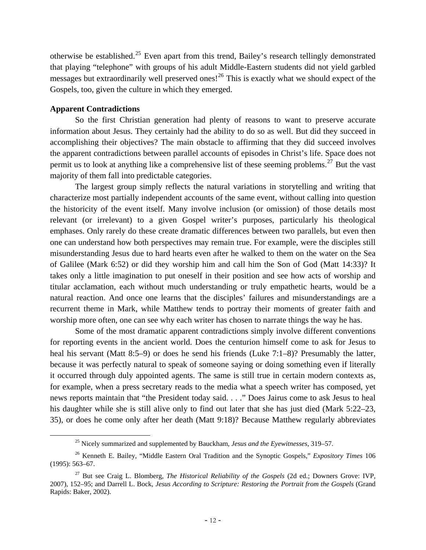otherwise be established.<sup>[25](#page-11-0)</sup> Even apart from this trend, Bailey's research tellingly demonstrated that playing "telephone" with groups of his adult Middle-Eastern students did not yield garbled messages but extraordinarily well preserved ones!<sup>[26](#page-11-1)</sup> This is exactly what we should expect of the Gospels, too, given the culture in which they emerged.

# **Apparent Contradictions**

So the first Christian generation had plenty of reasons to want to preserve accurate information about Jesus. They certainly had the ability to do so as well. But did they succeed in accomplishing their objectives? The main obstacle to affirming that they did succeed involves the apparent contradictions between parallel accounts of episodes in Christ's life. Space does not permit us to look at anything like a comprehensive list of these seeming problems.<sup>[27](#page-11-2)</sup> But the vast majority of them fall into predictable categories.

The largest group simply reflects the natural variations in storytelling and writing that characterize most partially independent accounts of the same event, without calling into question the historicity of the event itself. Many involve inclusion (or omission) of those details most relevant (or irrelevant) to a given Gospel writer's purposes, particularly his theological emphases. Only rarely do these create dramatic differences between two parallels, but even then one can understand how both perspectives may remain true. For example, were the disciples still misunderstanding Jesus due to hard hearts even after he walked to them on the water on the Sea of Galilee (Mark 6:52) or did they worship him and call him the Son of God (Matt 14:33)? It takes only a little imagination to put oneself in their position and see how acts of worship and titular acclamation, each without much understanding or truly empathetic hearts, would be a natural reaction. And once one learns that the disciples' failures and misunderstandings are a recurrent theme in Mark, while Matthew tends to portray their moments of greater faith and worship more often, one can see why each writer has chosen to narrate things the way he has.

Some of the most dramatic apparent contradictions simply involve different conventions for reporting events in the ancient world. Does the centurion himself come to ask for Jesus to heal his servant (Matt 8:5–9) or does he send his friends (Luke 7:1–8)? Presumably the latter, because it was perfectly natural to speak of someone saying or doing something even if literally it occurred through duly appointed agents. The same is still true in certain modern contexts as, for example, when a press secretary reads to the media what a speech writer has composed, yet news reports maintain that "the President today said. . . ." Does Jairus come to ask Jesus to heal his daughter while she is still alive only to find out later that she has just died (Mark 5:22–23, 35), or does he come only after her death (Matt 9:18)? Because Matthew regularly abbreviates

 <sup>25</sup> Nicely summarized and supplemented by Bauckham, *Jesus and the Eyewitnesses*, 319–57.

<span id="page-11-1"></span><span id="page-11-0"></span><sup>26</sup> Kenneth E. Bailey, "Middle Eastern Oral Tradition and the Synoptic Gospels," *Expository Times* 106 (1995): 563–67.

<span id="page-11-2"></span><sup>27</sup> But see Craig L. Blomberg, *The Historical Reliability of the Gospels* (2d ed.; Downers Grove: IVP, 2007), 152–95; and Darrell L. Bock, *Jesus According to Scripture: Restoring the Portrait from the Gospels* (Grand Rapids: Baker, 2002).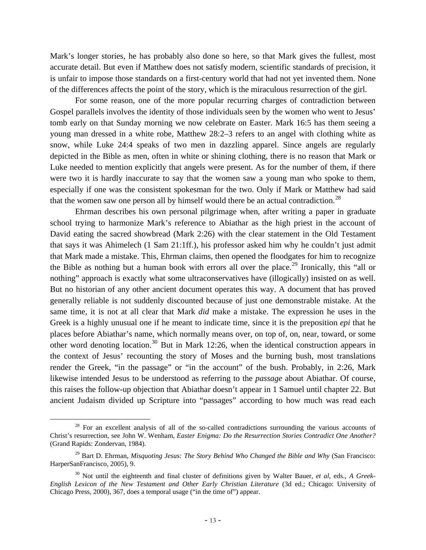Mark's longer stories, he has probably also done so here, so that Mark gives the fullest, most accurate detail. But even if Matthew does not satisfy modern, scientific standards of precision, it is unfair to impose those standards on a first-century world that had not yet invented them. None of the differences affects the point of the story, which is the miraculous resurrection of the girl.

For some reason, one of the more popular recurring charges of contradiction between Gospel parallels involves the identity of those individuals seen by the women who went to Jesus' tomb early on that Sunday morning we now celebrate on Easter. Mark 16:5 has them seeing a young man dressed in a white robe, Matthew 28:2–3 refers to an angel with clothing white as snow, while Luke 24:4 speaks of two men in dazzling apparel. Since angels are regularly depicted in the Bible as men, often in white or shining clothing, there is no reason that Mark or Luke needed to mention explicitly that angels were present. As for the number of them, if there were two it is hardly inaccurate to say that the women saw a young man who spoke to them, especially if one was the consistent spokesman for the two. Only if Mark or Matthew had said that the women saw one person all by himself would there be an actual contradiction.<sup>[28](#page-12-0)</sup>

Ehrman describes his own personal pilgrimage when, after writing a paper in graduate school trying to harmonize Mark's reference to Abiathar as the high priest in the account of David eating the sacred showbread (Mark 2:26) with the clear statement in the Old Testament that says it was Ahimelech (1 Sam 21:1ff.), his professor asked him why he couldn't just admit that Mark made a mistake. This, Ehrman claims, then opened the floodgates for him to recognize the Bible as nothing but a human book with errors all over the place.<sup>[29](#page-12-1)</sup> Ironically, this "all or nothing" approach is exactly what some ultraconservatives have (illogically) insisted on as well. But no historian of any other ancient document operates this way. A document that has proved generally reliable is not suddenly discounted because of just one demonstrable mistake. At the same time, it is not at all clear that Mark *did* make a mistake. The expression he uses in the Greek is a highly unusual one if he meant to indicate time, since it is the preposition *epi* that he places before Abiathar's name, which normally means over, on top of, on, near, toward, or some other word denoting location.<sup>[30](#page-12-2)</sup> But in Mark 12:26, when the identical construction appears in the context of Jesus' recounting the story of Moses and the burning bush, most translations render the Greek, "in the passage" or "in the account" of the bush. Probably, in 2:26, Mark likewise intended Jesus to be understood as referring to the *passage* about Abiathar. Of course, this raises the follow-up objection that Abiathar doesn't appear in 1 Samuel until chapter 22. But ancient Judaism divided up Scripture into "passages" according to how much was read each

<span id="page-12-0"></span><sup>&</sup>lt;sup>28</sup> For an excellent analysis of all of the so-called contradictions surrounding the various accounts of Christ's resurrection, see John W. Wenham, *Easter Enigma: Do the Resurrection Stories Contradict One Another?*  (Grand Rapids: Zondervan, 1984).

<span id="page-12-1"></span><sup>29</sup> Bart D. Ehrman, *Misquoting Jesus: The Story Behind Who Changed the Bible and Why* (San Francisco: HarperSanFrancisco, 2005), 9.

<span id="page-12-2"></span><sup>30</sup> Not until the eighteenth and final cluster of definitions given by Walter Bauer, *et al*, eds., *A Greek-English Lexicon of the New Testament and Other Early Christian Literature* (3d ed.; Chicago: University of Chicago Press, 2000), 367, does a temporal usage ("in the time of") appear.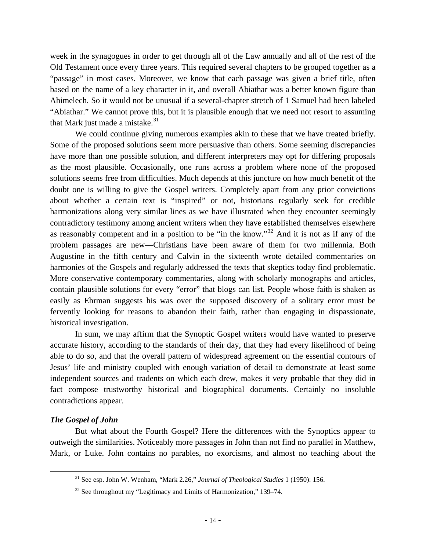week in the synagogues in order to get through all of the Law annually and all of the rest of the Old Testament once every three years. This required several chapters to be grouped together as a "passage" in most cases. Moreover, we know that each passage was given a brief title, often based on the name of a key character in it, and overall Abiathar was a better known figure than Ahimelech. So it would not be unusual if a several-chapter stretch of 1 Samuel had been labeled "Abiathar." We cannot prove this, but it is plausible enough that we need not resort to assuming that Mark just made a mistake. $31$ 

We could continue giving numerous examples akin to these that we have treated briefly. Some of the proposed solutions seem more persuasive than others. Some seeming discrepancies have more than one possible solution, and different interpreters may opt for differing proposals as the most plausible. Occasionally, one runs across a problem where none of the proposed solutions seems free from difficulties. Much depends at this juncture on how much benefit of the doubt one is willing to give the Gospel writers. Completely apart from any prior convictions about whether a certain text is "inspired" or not, historians regularly seek for credible harmonizations along very similar lines as we have illustrated when they encounter seemingly contradictory testimony among ancient writers when they have established themselves elsewhere as reasonably competent and in a position to be "in the know."[32](#page-13-1) And it is not as if any of the problem passages are new—Christians have been aware of them for two millennia. Both Augustine in the fifth century and Calvin in the sixteenth wrote detailed commentaries on harmonies of the Gospels and regularly addressed the texts that skeptics today find problematic. More conservative contemporary commentaries, along with scholarly monographs and articles, contain plausible solutions for every "error" that blogs can list. People whose faith is shaken as easily as Ehrman suggests his was over the supposed discovery of a solitary error must be fervently looking for reasons to abandon their faith, rather than engaging in dispassionate, historical investigation.

In sum, we may affirm that the Synoptic Gospel writers would have wanted to preserve accurate history, according to the standards of their day, that they had every likelihood of being able to do so, and that the overall pattern of widespread agreement on the essential contours of Jesus' life and ministry coupled with enough variation of detail to demonstrate at least some independent sources and tradents on which each drew, makes it very probable that they did in fact compose trustworthy historical and biographical documents. Certainly no insoluble contradictions appear.

## *The Gospel of John*

<span id="page-13-0"></span>But what about the Fourth Gospel? Here the differences with the Synoptics appear to outweigh the similarities. Noticeably more passages in John than not find no parallel in Matthew, Mark, or Luke. John contains no parables, no exorcisms, and almost no teaching about the

 <sup>31</sup> See esp. John W. Wenham, "Mark 2.26," *Journal of Theological Studies* 1 (1950): 156.

<span id="page-13-1"></span><sup>&</sup>lt;sup>32</sup> See throughout my "Legitimacy and Limits of Harmonization," 139–74.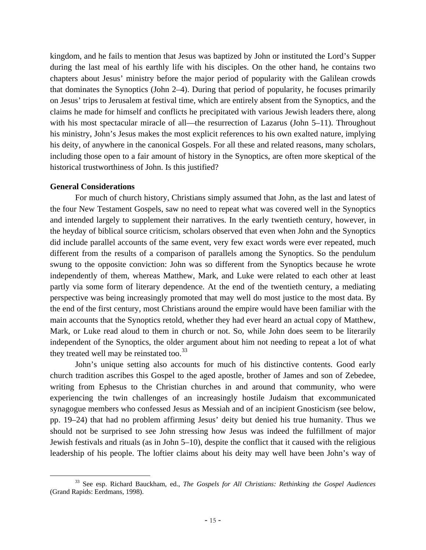kingdom, and he fails to mention that Jesus was baptized by John or instituted the Lord's Supper during the last meal of his earthly life with his disciples. On the other hand, he contains two chapters about Jesus' ministry before the major period of popularity with the Galilean crowds that dominates the Synoptics (John 2–4). During that period of popularity, he focuses primarily on Jesus' trips to Jerusalem at festival time, which are entirely absent from the Synoptics, and the claims he made for himself and conflicts he precipitated with various Jewish leaders there, along with his most spectacular miracle of all—the resurrection of Lazarus (John 5–11). Throughout his ministry, John's Jesus makes the most explicit references to his own exalted nature, implying his deity, of anywhere in the canonical Gospels. For all these and related reasons, many scholars, including those open to a fair amount of history in the Synoptics, are often more skeptical of the historical trustworthiness of John. Is this justified?

## **General Considerations**

For much of church history, Christians simply assumed that John, as the last and latest of the four New Testament Gospels, saw no need to repeat what was covered well in the Synoptics and intended largely to supplement their narratives. In the early twentieth century, however, in the heyday of biblical source criticism, scholars observed that even when John and the Synoptics did include parallel accounts of the same event, very few exact words were ever repeated, much different from the results of a comparison of parallels among the Synoptics. So the pendulum swung to the opposite conviction: John was so different from the Synoptics because he wrote independently of them, whereas Matthew, Mark, and Luke were related to each other at least partly via some form of literary dependence. At the end of the twentieth century, a mediating perspective was being increasingly promoted that may well do most justice to the most data. By the end of the first century, most Christians around the empire would have been familiar with the main accounts that the Synoptics retold, whether they had ever heard an actual copy of Matthew, Mark, or Luke read aloud to them in church or not. So, while John does seem to be literarily independent of the Synoptics, the older argument about him not needing to repeat a lot of what they treated well may be reinstated too.<sup>[33](#page-14-0)</sup>

John's unique setting also accounts for much of his distinctive contents. Good early church tradition ascribes this Gospel to the aged apostle, brother of James and son of Zebedee, writing from Ephesus to the Christian churches in and around that community, who were experiencing the twin challenges of an increasingly hostile Judaism that excommunicated synagogue members who confessed Jesus as Messiah and of an incipient Gnosticism (see below, pp. 19–24) that had no problem affirming Jesus' deity but denied his true humanity. Thus we should not be surprised to see John stressing how Jesus was indeed the fulfillment of major Jewish festivals and rituals (as in John 5–10), despite the conflict that it caused with the religious leadership of his people. The loftier claims about his deity may well have been John's way of

<span id="page-14-0"></span> <sup>33</sup> See esp. Richard Bauckham, ed., *The Gospels for All Christians: Rethinking the Gospel Audiences*  (Grand Rapids: Eerdmans, 1998).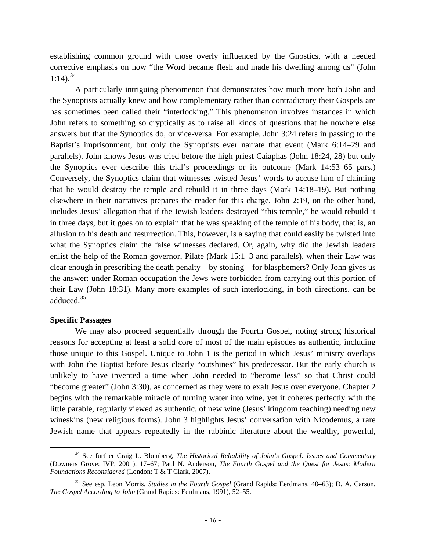establishing common ground with those overly influenced by the Gnostics, with a needed corrective emphasis on how "the Word became flesh and made his dwelling among us" (John  $1:14$ ).<sup>[34](#page-15-0)</sup>

A particularly intriguing phenomenon that demonstrates how much more both John and the Synoptists actually knew and how complementary rather than contradictory their Gospels are has sometimes been called their "interlocking." This phenomenon involves instances in which John refers to something so cryptically as to raise all kinds of questions that he nowhere else answers but that the Synoptics do, or vice-versa. For example, John 3:24 refers in passing to the Baptist's imprisonment, but only the Synoptists ever narrate that event (Mark 6:14–29 and parallels). John knows Jesus was tried before the high priest Caiaphas (John 18:24, 28) but only the Synoptics ever describe this trial's proceedings or its outcome (Mark 14:53–65 pars.) Conversely, the Synoptics claim that witnesses twisted Jesus' words to accuse him of claiming that he would destroy the temple and rebuild it in three days (Mark 14:18–19). But nothing elsewhere in their narratives prepares the reader for this charge. John 2:19, on the other hand, includes Jesus' allegation that if the Jewish leaders destroyed "this temple," he would rebuild it in three days, but it goes on to explain that he was speaking of the temple of his body, that is, an allusion to his death and resurrection. This, however, is a saying that could easily be twisted into what the Synoptics claim the false witnesses declared. Or, again, why did the Jewish leaders enlist the help of the Roman governor, Pilate (Mark 15:1–3 and parallels), when their Law was clear enough in prescribing the death penalty—by stoning—for blasphemers? Only John gives us the answer: under Roman occupation the Jews were forbidden from carrying out this portion of their Law (John 18:31). Many more examples of such interlocking, in both directions, can be adduced.<sup>[35](#page-15-1)</sup>

## **Specific Passages**

We may also proceed sequentially through the Fourth Gospel, noting strong historical reasons for accepting at least a solid core of most of the main episodes as authentic, including those unique to this Gospel. Unique to John 1 is the period in which Jesus' ministry overlaps with John the Baptist before Jesus clearly "outshines" his predecessor. But the early church is unlikely to have invented a time when John needed to "become less" so that Christ could "become greater" (John 3:30), as concerned as they were to exalt Jesus over everyone. Chapter 2 begins with the remarkable miracle of turning water into wine, yet it coheres perfectly with the little parable, regularly viewed as authentic, of new wine (Jesus' kingdom teaching) needing new wineskins (new religious forms). John 3 highlights Jesus' conversation with Nicodemus, a rare Jewish name that appears repeatedly in the rabbinic literature about the wealthy, powerful,

<span id="page-15-0"></span> <sup>34</sup> See further Craig L. Blomberg, *The Historical Reliability of John's Gospel: Issues and Commentary*  (Downers Grove: IVP, 2001), 17–67; Paul N. Anderson, *The Fourth Gospel and the Quest for Jesus: Modern Foundations Reconsidered* (London: T & T Clark, 2007).

<span id="page-15-1"></span><sup>35</sup> See esp. Leon Morris, *Studies in the Fourth Gospel* (Grand Rapids: Eerdmans, 40–63); D. A. Carson, *The Gospel According to John* (Grand Rapids: Eerdmans, 1991), 52–55.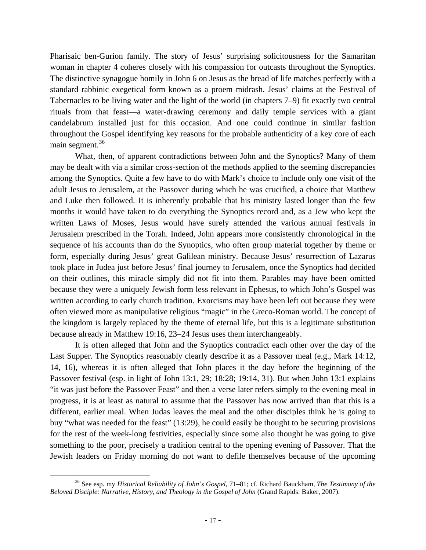Pharisaic ben-Gurion family. The story of Jesus' surprising solicitousness for the Samaritan woman in chapter 4 coheres closely with his compassion for outcasts throughout the Synoptics. The distinctive synagogue homily in John 6 on Jesus as the bread of life matches perfectly with a standard rabbinic exegetical form known as a proem midrash. Jesus' claims at the Festival of Tabernacles to be living water and the light of the world (in chapters 7–9) fit exactly two central rituals from that feast—a water-drawing ceremony and daily temple services with a giant candelabrum installed just for this occasion. And one could continue in similar fashion throughout the Gospel identifying key reasons for the probable authenticity of a key core of each main segment.<sup>[36](#page-16-0)</sup>

What, then, of apparent contradictions between John and the Synoptics? Many of them may be dealt with via a similar cross-section of the methods applied to the seeming discrepancies among the Synoptics. Quite a few have to do with Mark's choice to include only one visit of the adult Jesus to Jerusalem, at the Passover during which he was crucified, a choice that Matthew and Luke then followed. It is inherently probable that his ministry lasted longer than the few months it would have taken to do everything the Synoptics record and, as a Jew who kept the written Laws of Moses, Jesus would have surely attended the various annual festivals in Jerusalem prescribed in the Torah. Indeed, John appears more consistently chronological in the sequence of his accounts than do the Synoptics, who often group material together by theme or form, especially during Jesus' great Galilean ministry. Because Jesus' resurrection of Lazarus took place in Judea just before Jesus' final journey to Jerusalem, once the Synoptics had decided on their outlines, this miracle simply did not fit into them. Parables may have been omitted because they were a uniquely Jewish form less relevant in Ephesus, to which John's Gospel was written according to early church tradition. Exorcisms may have been left out because they were often viewed more as manipulative religious "magic" in the Greco-Roman world. The concept of the kingdom is largely replaced by the theme of eternal life, but this is a legitimate substitution because already in Matthew 19:16, 23–24 Jesus uses them interchangeably.

It is often alleged that John and the Synoptics contradict each other over the day of the Last Supper. The Synoptics reasonably clearly describe it as a Passover meal (e.g., Mark 14:12, 14, 16), whereas it is often alleged that John places it the day before the beginning of the Passover festival (esp. in light of John 13:1, 29; 18:28; 19:14, 31). But when John 13:1 explains "it was just before the Passover Feast" and then a verse later refers simply to the evening meal in progress, it is at least as natural to assume that the Passover has now arrived than that this is a different, earlier meal. When Judas leaves the meal and the other disciples think he is going to buy "what was needed for the feast" (13:29), he could easily be thought to be securing provisions for the rest of the week-long festivities, especially since some also thought he was going to give something to the poor, precisely a tradition central to the opening evening of Passover. That the Jewish leaders on Friday morning do not want to defile themselves because of the upcoming

<span id="page-16-0"></span> <sup>36</sup> See esp. my *Historical Reliability of John's Gospel*, 71–81; cf. Richard Bauckham, *The Testimony of the Beloved Disciple: Narrative, History, and Theology in the Gospel of John* (Grand Rapids: Baker, 2007).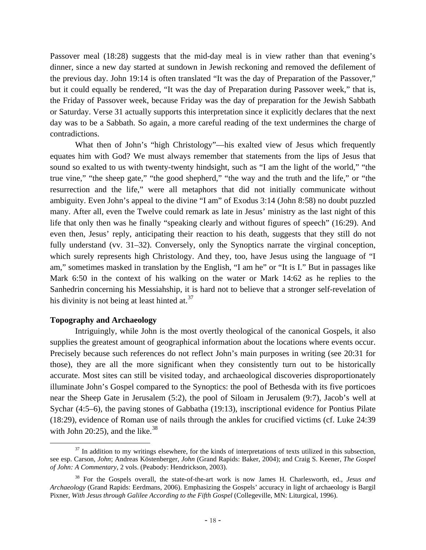Passover meal (18:28) suggests that the mid-day meal is in view rather than that evening's dinner, since a new day started at sundown in Jewish reckoning and removed the defilement of the previous day. John 19:14 is often translated "It was the day of Preparation of the Passover," but it could equally be rendered, "It was the day of Preparation during Passover week," that is, the Friday of Passover week, because Friday was the day of preparation for the Jewish Sabbath or Saturday. Verse 31 actually supports this interpretation since it explicitly declares that the next day was to be a Sabbath. So again, a more careful reading of the text undermines the charge of contradictions.

What then of John's "high Christology"—his exalted view of Jesus which frequently equates him with God? We must always remember that statements from the lips of Jesus that sound so exalted to us with twenty-twenty hindsight, such as "I am the light of the world," "the true vine," "the sheep gate," "the good shepherd," "the way and the truth and the life," or "the resurrection and the life," were all metaphors that did not initially communicate without ambiguity. Even John's appeal to the divine "I am" of Exodus 3:14 (John 8:58) no doubt puzzled many. After all, even the Twelve could remark as late in Jesus' ministry as the last night of this life that only then was he finally "speaking clearly and without figures of speech" (16:29). And even then, Jesus' reply, anticipating their reaction to his death, suggests that they still do not fully understand (vv. 31–32). Conversely, only the Synoptics narrate the virginal conception, which surely represents high Christology. And they, too, have Jesus using the language of "I am," sometimes masked in translation by the English, "I am he" or "It is I." But in passages like Mark 6:50 in the context of his walking on the water or Mark 14:62 as he replies to the Sanhedrin concerning his Messiahship, it is hard not to believe that a stronger self-revelation of his divinity is not being at least hinted at. $37$ 

## **Topography and Archaeology**

Intriguingly, while John is the most overtly theological of the canonical Gospels, it also supplies the greatest amount of geographical information about the locations where events occur. Precisely because such references do not reflect John's main purposes in writing (see 20:31 for those), they are all the more significant when they consistently turn out to be historically accurate. Most sites can still be visited today, and archaeological discoveries disproportionately illuminate John's Gospel compared to the Synoptics: the pool of Bethesda with its five porticoes near the Sheep Gate in Jerusalem (5:2), the pool of Siloam in Jerusalem (9:7), Jacob's well at Sychar (4:5–6), the paving stones of Gabbatha (19:13), inscriptional evidence for Pontius Pilate (18:29), evidence of Roman use of nails through the ankles for crucified victims (cf. Luke 24:39 with John 20:25), and the like.<sup>[38](#page-17-1)</sup>

<span id="page-17-0"></span> $37$  In addition to my writings elsewhere, for the kinds of interpretations of texts utilized in this subsection, see esp. Carson, *John*; Andreas Köstenberger, *John* (Grand Rapids: Baker, 2004); and Craig S. Keener, *The Gospel of John: A Commentary*, 2 vols. (Peabody: Hendrickson, 2003).

<span id="page-17-1"></span><sup>38</sup> For the Gospels overall, the state-of-the-art work is now James H. Charlesworth, ed., *Jesus and Archaeology* (Grand Rapids: Eerdmans, 2006). Emphasizing the Gospels' accuracy in light of archaeology is Bargil Pixner, *With Jesus through Galilee According to the Fifth Gospel* (Collegeville, MN: Liturgical, 1996).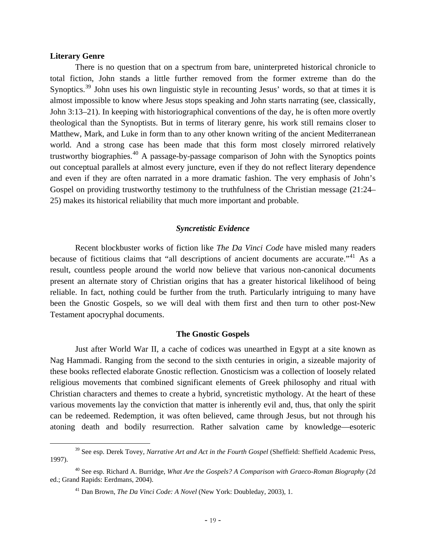#### **Literary Genre**

There is no question that on a spectrum from bare, uninterpreted historical chronicle to total fiction, John stands a little further removed from the former extreme than do the Synoptics.<sup>[39](#page-18-0)</sup> John uses his own linguistic style in recounting Jesus' words, so that at times it is almost impossible to know where Jesus stops speaking and John starts narrating (see, classically, John 3:13–21). In keeping with historiographical conventions of the day, he is often more overtly theological than the Synoptists. But in terms of literary genre, his work still remains closer to Matthew, Mark, and Luke in form than to any other known writing of the ancient Mediterranean world. And a strong case has been made that this form most closely mirrored relatively trustworthy biographies.<sup>[40](#page-18-1)</sup> A passage-by-passage comparison of John with the Synoptics points out conceptual parallels at almost every juncture, even if they do not reflect literary dependence and even if they are often narrated in a more dramatic fashion. The very emphasis of John's Gospel on providing trustworthy testimony to the truthfulness of the Christian message (21:24– 25) makes its historical reliability that much more important and probable.

#### *Syncretistic Evidence*

Recent blockbuster works of fiction like *The Da Vinci Code* have misled many readers because of fictitious claims that "all descriptions of ancient documents are accurate."<sup>[41](#page-18-2)</sup> As a result, countless people around the world now believe that various non-canonical documents present an alternate story of Christian origins that has a greater historical likelihood of being reliable. In fact, nothing could be further from the truth. Particularly intriguing to many have been the Gnostic Gospels, so we will deal with them first and then turn to other post-New Testament apocryphal documents.

#### **The Gnostic Gospels**

Just after World War II, a cache of codices was unearthed in Egypt at a site known as Nag Hammadi. Ranging from the second to the sixth centuries in origin, a sizeable majority of these books reflected elaborate Gnostic reflection. Gnosticism was a collection of loosely related religious movements that combined significant elements of Greek philosophy and ritual with Christian characters and themes to create a hybrid, syncretistic mythology. At the heart of these various movements lay the conviction that matter is inherently evil and, thus, that only the spirit can be redeemed. Redemption, it was often believed, came through Jesus, but not through his atoning death and bodily resurrection. Rather salvation came by knowledge—esoteric

<span id="page-18-0"></span> <sup>39</sup> See esp. Derek Tovey, *Narrative Art and Act in the Fourth Gospel* (Sheffield: Sheffield Academic Press, 1997).

<span id="page-18-2"></span><span id="page-18-1"></span><sup>40</sup> See esp. Richard A. Burridge, *What Are the Gospels? A Comparison with Graeco-Roman Biography* (2d ed.; Grand Rapids: Eerdmans, 2004).

<sup>&</sup>lt;sup>41</sup> Dan Brown, *The Da Vinci Code: A Novel* (New York: Doubleday, 2003), 1.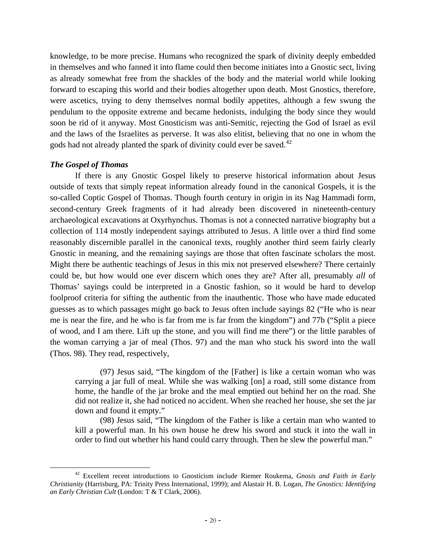knowledge, to be more precise. Humans who recognized the spark of divinity deeply embedded in themselves and who fanned it into flame could then become initiates into a Gnostic sect, living as already somewhat free from the shackles of the body and the material world while looking forward to escaping this world and their bodies altogether upon death. Most Gnostics, therefore, were ascetics, trying to deny themselves normal bodily appetites, although a few swung the pendulum to the opposite extreme and became hedonists, indulging the body since they would soon be rid of it anyway. Most Gnosticism was anti-Semitic, rejecting the God of Israel as evil and the laws of the Israelites as perverse. It was also elitist, believing that no one in whom the gods had not already planted the spark of divinity could ever be saved.<sup>[42](#page-19-0)</sup>

# *The Gospel of Thomas*

If there is any Gnostic Gospel likely to preserve historical information about Jesus outside of texts that simply repeat information already found in the canonical Gospels, it is the so-called Coptic Gospel of Thomas. Though fourth century in origin in its Nag Hammadi form, second-century Greek fragments of it had already been discovered in nineteenth-century archaeological excavations at Oxyrhynchus. Thomas is not a connected narrative biography but a collection of 114 mostly independent sayings attributed to Jesus. A little over a third find some reasonably discernible parallel in the canonical texts, roughly another third seem fairly clearly Gnostic in meaning, and the remaining sayings are those that often fascinate scholars the most. Might there be authentic teachings of Jesus in this mix not preserved elsewhere? There certainly could be, but how would one ever discern which ones they are? After all, presumably *all* of Thomas' sayings could be interpreted in a Gnostic fashion, so it would be hard to develop foolproof criteria for sifting the authentic from the inauthentic. Those who have made educated guesses as to which passages might go back to Jesus often include sayings 82 ("He who is near me is near the fire, and he who is far from me is far from the kingdom") and 77b ("Split a piece of wood, and I am there. Lift up the stone, and you will find me there") or the little parables of the woman carrying a jar of meal (Thos. 97) and the man who stuck his sword into the wall (Thos. 98). They read, respectively,

(97) Jesus said, "The kingdom of the [Father] is like a certain woman who was carrying a jar full of meal. While she was walking [on] a road, still some distance from home, the handle of the jar broke and the meal emptied out behind her on the road. She did not realize it, she had noticed no accident. When she reached her house, she set the jar down and found it empty."

(98) Jesus said, "The kingdom of the Father is like a certain man who wanted to kill a powerful man. In his own house he drew his sword and stuck it into the wall in order to find out whether his hand could carry through. Then he slew the powerful man."

<span id="page-19-0"></span> <sup>42</sup> Excellent recent introductions to Gnosticism include Riemer Roukema, *Gnosis and Faith in Early Christianity* (Harrisburg, PA: Trinity Press International, 1999); and Alastair H. B. Logan, *The Gnostics: Identifying an Early Christian Cult* (London: T & T Clark, 2006).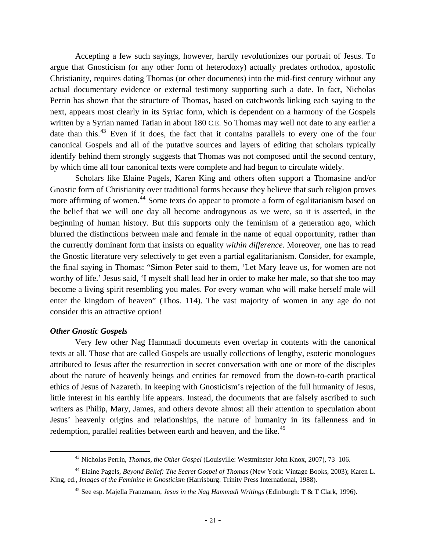Accepting a few such sayings, however, hardly revolutionizes our portrait of Jesus. To argue that Gnosticism (or any other form of heterodoxy) actually predates orthodox, apostolic Christianity, requires dating Thomas (or other documents) into the mid-first century without any actual documentary evidence or external testimony supporting such a date. In fact, Nicholas Perrin has shown that the structure of Thomas, based on catchwords linking each saying to the next, appears most clearly in its Syriac form, which is dependent on a harmony of the Gospels written by a Syrian named Tatian in about 180 C.E. So Thomas may well not date to any earlier a date than this.<sup>[43](#page-20-0)</sup> Even if it does, the fact that it contains parallels to every one of the four canonical Gospels and all of the putative sources and layers of editing that scholars typically identify behind them strongly suggests that Thomas was not composed until the second century, by which time all four canonical texts were complete and had begun to circulate widely.

Scholars like Elaine Pagels, Karen King and others often support a Thomasine and/or Gnostic form of Christianity over traditional forms because they believe that such religion proves more affirming of women.<sup>[44](#page-20-1)</sup> Some texts do appear to promote a form of egalitarianism based on the belief that we will one day all become androgynous as we were, so it is asserted, in the beginning of human history. But this supports only the feminism of a generation ago, which blurred the distinctions between male and female in the name of equal opportunity, rather than the currently dominant form that insists on equality *within difference*. Moreover, one has to read the Gnostic literature very selectively to get even a partial egalitarianism. Consider, for example, the final saying in Thomas: "Simon Peter said to them, 'Let Mary leave us, for women are not worthy of life.' Jesus said, 'I myself shall lead her in order to make her male, so that she too may become a living spirit resembling you males. For every woman who will make herself male will enter the kingdom of heaven" (Thos. 114). The vast majority of women in any age do not consider this an attractive option!

## *Other Gnostic Gospels*

Very few other Nag Hammadi documents even overlap in contents with the canonical texts at all. Those that are called Gospels are usually collections of lengthy, esoteric monologues attributed to Jesus after the resurrection in secret conversation with one or more of the disciples about the nature of heavenly beings and entities far removed from the down-to-earth practical ethics of Jesus of Nazareth. In keeping with Gnosticism's rejection of the full humanity of Jesus, little interest in his earthly life appears. Instead, the documents that are falsely ascribed to such writers as Philip, Mary, James, and others devote almost all their attention to speculation about Jesus' heavenly origins and relationships, the nature of humanity in its fallenness and in redemption, parallel realities between earth and heaven, and the like.<sup>[45](#page-20-2)</sup>

 <sup>43</sup> Nicholas Perrin, *Thomas, the Other Gospel* (Louisville: Westminster John Knox, 2007), 73–106.

<span id="page-20-2"></span><span id="page-20-1"></span><span id="page-20-0"></span><sup>44</sup> Elaine Pagels, *Beyond Belief: The Secret Gospel of Thomas* (New York: Vintage Books, 2003); Karen L. King, ed., *Images of the Feminine in Gnosticism* (Harrisburg: Trinity Press International, 1988).

<sup>45</sup> See esp. Majella Franzmann, *Jesus in the Nag Hammadi Writings* (Edinburgh: T & T Clark, 1996).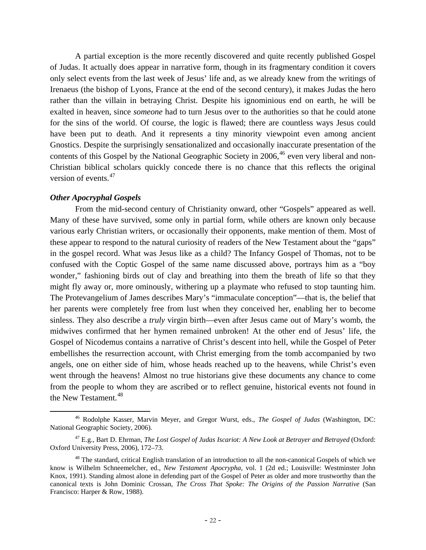A partial exception is the more recently discovered and quite recently published Gospel of Judas. It actually does appear in narrative form, though in its fragmentary condition it covers only select events from the last week of Jesus' life and, as we already knew from the writings of Irenaeus (the bishop of Lyons, France at the end of the second century), it makes Judas the hero rather than the villain in betraying Christ. Despite his ignominious end on earth, he will be exalted in heaven, since *someone* had to turn Jesus over to the authorities so that he could atone for the sins of the world. Of course, the logic is flawed; there are countless ways Jesus could have been put to death. And it represents a tiny minority viewpoint even among ancient Gnostics. Despite the surprisingly sensationalized and occasionally inaccurate presentation of the contents of this Gospel by the National Geographic Society in 2006,<sup>[46](#page-21-0)</sup> even very liberal and non-Christian biblical scholars quickly concede there is no chance that this reflects the original version of events.<sup>[47](#page-21-1)</sup>

# *Other Apocryphal Gospels*

From the mid-second century of Christianity onward, other "Gospels" appeared as well. Many of these have survived, some only in partial form, while others are known only because various early Christian writers, or occasionally their opponents, make mention of them. Most of these appear to respond to the natural curiosity of readers of the New Testament about the "gaps" in the gospel record. What was Jesus like as a child? The Infancy Gospel of Thomas, not to be confused with the Coptic Gospel of the same name discussed above, portrays him as a "boy wonder," fashioning birds out of clay and breathing into them the breath of life so that they might fly away or, more ominously, withering up a playmate who refused to stop taunting him. The Protevangelium of James describes Mary's "immaculate conception"—that is, the belief that her parents were completely free from lust when they conceived her, enabling her to become sinless. They also describe a *truly* virgin birth—even after Jesus came out of Mary's womb, the midwives confirmed that her hymen remained unbroken! At the other end of Jesus' life, the Gospel of Nicodemus contains a narrative of Christ's descent into hell, while the Gospel of Peter embellishes the resurrection account, with Christ emerging from the tomb accompanied by two angels, one on either side of him, whose heads reached up to the heavens, while Christ's even went through the heavens! Almost no true historians give these documents any chance to come from the people to whom they are ascribed or to reflect genuine, historical events not found in the New Testament.<sup>[48](#page-21-2)</sup>

<span id="page-21-0"></span> <sup>46</sup> Rodolphe Kasser, Marvin Meyer, and Gregor Wurst, eds., *The Gospel of Judas* (Washington, DC: National Geographic Society, 2006).

<span id="page-21-1"></span><sup>47</sup> E.g., Bart D. Ehrman, *The Lost Gospel of Judas Iscariot: A New Look at Betrayer and Betrayed* (Oxford: Oxford University Press, 2006), 172–73.

<span id="page-21-2"></span><sup>&</sup>lt;sup>48</sup> The standard, critical English translation of an introduction to all the non-canonical Gospels of which we know is Wilhelm Schneemelcher, ed., *New Testament Apocrypha*, vol. 1 (2d ed.; Louisville: Westminster John Knox, 1991). Standing almost alone in defending part of the Gospel of Peter as older and more trustworthy than the canonical texts is John Dominic Crossan, *The Cross That Spoke: The Origins of the Passion Narrative* (San Francisco: Harper & Row, 1988).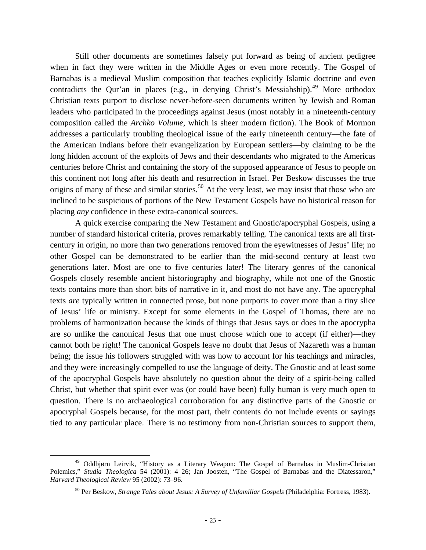Still other documents are sometimes falsely put forward as being of ancient pedigree when in fact they were written in the Middle Ages or even more recently. The Gospel of Barnabas is a medieval Muslim composition that teaches explicitly Islamic doctrine and even contradicts the Qur'an in places (e.g., in denying Christ's Messiahship).<sup>[49](#page-22-0)</sup> More orthodox Christian texts purport to disclose never-before-seen documents written by Jewish and Roman leaders who participated in the proceedings against Jesus (most notably in a nineteenth-century composition called the *Archko Volume*, which is sheer modern fiction). The Book of Mormon addresses a particularly troubling theological issue of the early nineteenth century—the fate of the American Indians before their evangelization by European settlers—by claiming to be the long hidden account of the exploits of Jews and their descendants who migrated to the Americas centuries before Christ and containing the story of the supposed appearance of Jesus to people on this continent not long after his death and resurrection in Israel. Per Beskow discusses the true origins of many of these and similar stories.<sup>[50](#page-22-1)</sup> At the very least, we may insist that those who are inclined to be suspicious of portions of the New Testament Gospels have no historical reason for placing *any* confidence in these extra-canonical sources.

A quick exercise comparing the New Testament and Gnostic/apocryphal Gospels, using a number of standard historical criteria, proves remarkably telling. The canonical texts are all firstcentury in origin, no more than two generations removed from the eyewitnesses of Jesus' life; no other Gospel can be demonstrated to be earlier than the mid-second century at least two generations later. Most are one to five centuries later! The literary genres of the canonical Gospels closely resemble ancient historiography and biography, while not one of the Gnostic texts contains more than short bits of narrative in it, and most do not have any. The apocryphal texts *are* typically written in connected prose, but none purports to cover more than a tiny slice of Jesus' life or ministry. Except for some elements in the Gospel of Thomas, there are no problems of harmonization because the kinds of things that Jesus says or does in the apocrypha are so unlike the canonical Jesus that one must choose which one to accept (if either)—they cannot both be right! The canonical Gospels leave no doubt that Jesus of Nazareth was a human being; the issue his followers struggled with was how to account for his teachings and miracles, and they were increasingly compelled to use the language of deity. The Gnostic and at least some of the apocryphal Gospels have absolutely no question about the deity of a spirit-being called Christ, but whether that spirit ever was (or could have been) fully human is very much open to question. There is no archaeological corroboration for any distinctive parts of the Gnostic or apocryphal Gospels because, for the most part, their contents do not include events or sayings tied to any particular place. There is no testimony from non-Christian sources to support them,

<span id="page-22-1"></span><span id="page-22-0"></span><sup>&</sup>lt;sup>49</sup> Oddbjørn Leirvik, "History as a Literary Weapon: The Gospel of Barnabas in Muslim-Christian Polemics," *Studia Theologica* 54 (2001): 4–26; Jan Joosten, "The Gospel of Barnabas and the Diatessaron," *Harvard Theological Review* 95 (2002): 73–96.

<sup>50</sup> Per Beskow, *Strange Tales about Jesus: A Survey of Unfamiliar Gospels* (Philadelphia: Fortress, 1983).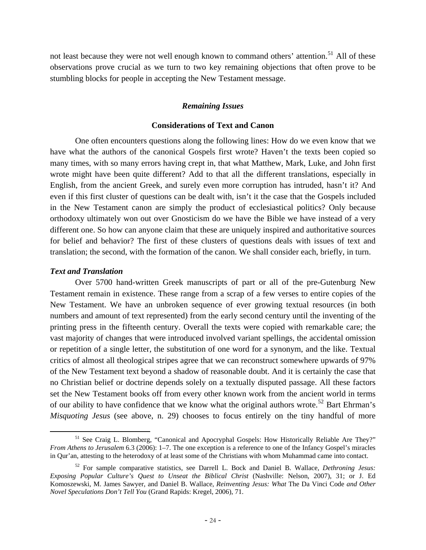not least because they were not well enough known to command others' attention.<sup>[51](#page-23-0)</sup> All of these observations prove crucial as we turn to two key remaining objections that often prove to be stumbling blocks for people in accepting the New Testament message.

# *Remaining Issues*

#### **Considerations of Text and Canon**

One often encounters questions along the following lines: How do we even know that we have what the authors of the canonical Gospels first wrote? Haven't the texts been copied so many times, with so many errors having crept in, that what Matthew, Mark, Luke, and John first wrote might have been quite different? Add to that all the different translations, especially in English, from the ancient Greek, and surely even more corruption has intruded, hasn't it? And even if this first cluster of questions can be dealt with, isn't it the case that the Gospels included in the New Testament canon are simply the product of ecclesiastical politics? Only because orthodoxy ultimately won out over Gnosticism do we have the Bible we have instead of a very different one. So how can anyone claim that these are uniquely inspired and authoritative sources for belief and behavior? The first of these clusters of questions deals with issues of text and translation; the second, with the formation of the canon. We shall consider each, briefly, in turn.

## *Text and Translation*

Over 5700 hand-written Greek manuscripts of part or all of the pre-Gutenburg New Testament remain in existence. These range from a scrap of a few verses to entire copies of the New Testament. We have an unbroken sequence of ever growing textual resources (in both numbers and amount of text represented) from the early second century until the inventing of the printing press in the fifteenth century. Overall the texts were copied with remarkable care; the vast majority of changes that were introduced involved variant spellings, the accidental omission or repetition of a single letter, the substitution of one word for a synonym, and the like. Textual critics of almost all theological stripes agree that we can reconstruct somewhere upwards of 97% of the New Testament text beyond a shadow of reasonable doubt. And it is certainly the case that no Christian belief or doctrine depends solely on a textually disputed passage. All these factors set the New Testament books off from every other known work from the ancient world in terms of our ability to have confidence that we know what the original authors wrote.<sup>[52](#page-23-1)</sup> Bart Ehrman's *Misquoting Jesus* (see above, n. 29) chooses to focus entirely on the tiny handful of more

<span id="page-23-0"></span><sup>&</sup>lt;sup>51</sup> See Craig L. Blomberg, "Canonical and Apocryphal Gospels: How Historically Reliable Are They?" *From Athens to Jerusalem* 6.3 (2006): 1–7. The one exception is a reference to one of the Infancy Gospel's miracles in Qur'an, attesting to the heterodoxy of at least some of the Christians with whom Muhammad came into contact.

<span id="page-23-1"></span><sup>52</sup> For sample comparative statistics, see Darrell L. Bock and Daniel B. Wallace, *Dethroning Jesus: Exposing Popular Culture's Quest to Unseat the Biblical Christ* (Nashville: Nelson, 2007), 31; or J. Ed Komoszewski, M. James Sawyer, and Daniel B. Wallace, *Reinventing Jesus: What* The Da Vinci Code *and Other Novel Speculations Don't Tell You* (Grand Rapids: Kregel, 2006), 71.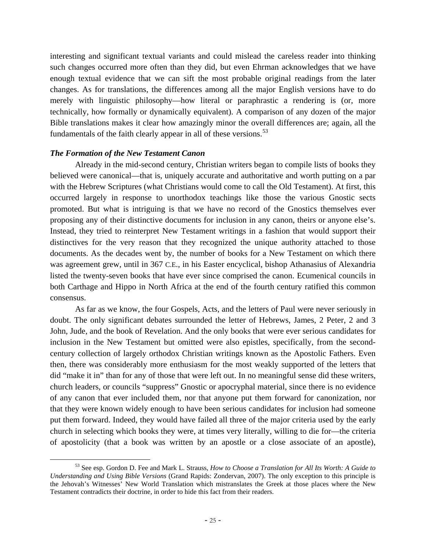interesting and significant textual variants and could mislead the careless reader into thinking such changes occurred more often than they did, but even Ehrman acknowledges that we have enough textual evidence that we can sift the most probable original readings from the later changes. As for translations, the differences among all the major English versions have to do merely with linguistic philosophy—how literal or paraphrastic a rendering is (or, more technically, how formally or dynamically equivalent). A comparison of any dozen of the major Bible translations makes it clear how amazingly minor the overall differences are; again, all the fundamentals of the faith clearly appear in all of these versions.<sup>[53](#page-24-0)</sup>

# *The Formation of the New Testament Canon*

Already in the mid-second century, Christian writers began to compile lists of books they believed were canonical—that is, uniquely accurate and authoritative and worth putting on a par with the Hebrew Scriptures (what Christians would come to call the Old Testament). At first, this occurred largely in response to unorthodox teachings like those the various Gnostic sects promoted. But what is intriguing is that we have no record of the Gnostics themselves ever proposing any of their distinctive documents for inclusion in any canon, theirs or anyone else's. Instead, they tried to reinterpret New Testament writings in a fashion that would support their distinctives for the very reason that they recognized the unique authority attached to those documents. As the decades went by, the number of books for a New Testament on which there was agreement grew, until in 367 C.E., in his Easter encyclical, bishop Athanasius of Alexandria listed the twenty-seven books that have ever since comprised the canon. Ecumenical councils in both Carthage and Hippo in North Africa at the end of the fourth century ratified this common consensus.

As far as we know, the four Gospels, Acts, and the letters of Paul were never seriously in doubt. The only significant debates surrounded the letter of Hebrews, James, 2 Peter, 2 and 3 John, Jude, and the book of Revelation. And the only books that were ever serious candidates for inclusion in the New Testament but omitted were also epistles, specifically, from the secondcentury collection of largely orthodox Christian writings known as the Apostolic Fathers. Even then, there was considerably more enthusiasm for the most weakly supported of the letters that did "make it in" than for any of those that were left out. In no meaningful sense did these writers, church leaders, or councils "suppress" Gnostic or apocryphal material, since there is no evidence of any canon that ever included them, nor that anyone put them forward for canonization, nor that they were known widely enough to have been serious candidates for inclusion had someone put them forward. Indeed, they would have failed all three of the major criteria used by the early church in selecting which books they were, at times very literally, willing to die for—the criteria of apostolicity (that a book was written by an apostle or a close associate of an apostle),

<span id="page-24-0"></span> <sup>53</sup> See esp. Gordon D. Fee and Mark L. Strauss, *How to Choose a Translation for All Its Worth: A Guide to Understanding and Using Bible Versions* (Grand Rapids: Zondervan, 2007). The only exception to this principle is the Jehovah's Witnesses' New World Translation which mistranslates the Greek at those places where the New Testament contradicts their doctrine, in order to hide this fact from their readers.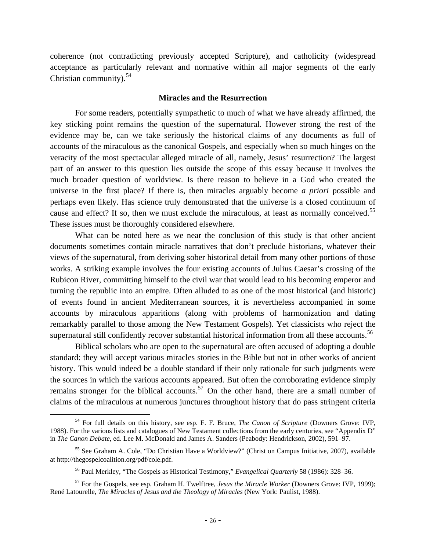coherence (not contradicting previously accepted Scripture), and catholicity (widespread acceptance as particularly relevant and normative within all major segments of the early Christian community). $54$ 

#### **Miracles and the Resurrection**

For some readers, potentially sympathetic to much of what we have already affirmed, the key sticking point remains the question of the supernatural. However strong the rest of the evidence may be, can we take seriously the historical claims of any documents as full of accounts of the miraculous as the canonical Gospels, and especially when so much hinges on the veracity of the most spectacular alleged miracle of all, namely, Jesus' resurrection? The largest part of an answer to this question lies outside the scope of this essay because it involves the much broader question of worldview. Is there reason to believe in a God who created the universe in the first place? If there is, then miracles arguably become *a priori* possible and perhaps even likely. Has science truly demonstrated that the universe is a closed continuum of cause and effect? If so, then we must exclude the miraculous, at least as normally conceived.<sup>[55](#page-25-1)</sup> These issues must be thoroughly considered elsewhere.

What can be noted here as we near the conclusion of this study is that other ancient documents sometimes contain miracle narratives that don't preclude historians, whatever their views of the supernatural, from deriving sober historical detail from many other portions of those works. A striking example involves the four existing accounts of Julius Caesar's crossing of the Rubicon River, committing himself to the civil war that would lead to his becoming emperor and turning the republic into an empire. Often alluded to as one of the most historical (and historic) of events found in ancient Mediterranean sources, it is nevertheless accompanied in some accounts by miraculous apparitions (along with problems of harmonization and dating remarkably parallel to those among the New Testament Gospels). Yet classicists who reject the supernatural still confidently recover substantial historical information from all these accounts.<sup>[56](#page-25-2)</sup>

Biblical scholars who are open to the supernatural are often accused of adopting a double standard: they will accept various miracles stories in the Bible but not in other works of ancient history. This would indeed be a double standard if their only rationale for such judgments were the sources in which the various accounts appeared. But often the corroborating evidence simply remains stronger for the biblical accounts.<sup>[57](#page-25-3)</sup> On the other hand, there are a small number of claims of the miraculous at numerous junctures throughout history that do pass stringent criteria

<span id="page-25-0"></span> <sup>54</sup> For full details on this history, see esp. F. F. Bruce, *The Canon of Scripture* (Downers Grove: IVP, 1988). For the various lists and catalogues of New Testament collections from the early centuries, see "Appendix D" in *The Canon Debate*, ed. Lee M. McDonald and James A. Sanders (Peabody: Hendrickson, 2002), 591–97.

<span id="page-25-1"></span><sup>55</sup> See Graham A. Cole, "Do Christian Have a Worldview?" (Christ on Campus Initiative, 2007), available at <http://thegospelcoalition.org/pdf/cole.pdf>.

<sup>56</sup> Paul Merkley, "The Gospels as Historical Testimony," *Evangelical Quarterly* 58 (1986): 328–36.

<span id="page-25-3"></span><span id="page-25-2"></span><sup>57</sup> For the Gospels, see esp. Graham H. Twelftree, *Jesus the Miracle Worker* (Downers Grove: IVP, 1999); René Latourelle, *The Miracles of Jesus and the Theology of Miracles* (New York: Paulist, 1988).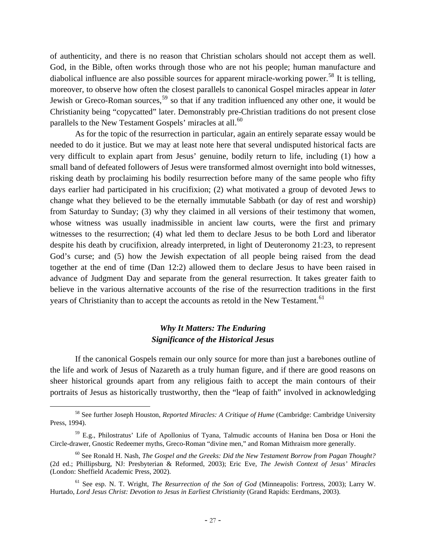of authenticity, and there is no reason that Christian scholars should not accept them as well. God, in the Bible, often works through those who are not his people; human manufacture and diabolical influence are also possible sources for apparent miracle-working power.<sup>[58](#page-26-0)</sup> It is telling, moreover, to observe how often the closest parallels to canonical Gospel miracles appear in *later* Jewish or Greco-Roman sources,<sup>[59](#page-26-1)</sup> so that if any tradition influenced any other one, it would be Christianity being "copycatted" later. Demonstrably pre-Christian traditions do not present close parallels to the New Testament Gospels' miracles at all.<sup>[60](#page-26-2)</sup>

As for the topic of the resurrection in particular, again an entirely separate essay would be needed to do it justice. But we may at least note here that several undisputed historical facts are very difficult to explain apart from Jesus' genuine, bodily return to life, including (1) how a small band of defeated followers of Jesus were transformed almost overnight into bold witnesses, risking death by proclaiming his bodily resurrection before many of the same people who fifty days earlier had participated in his crucifixion; (2) what motivated a group of devoted Jews to change what they believed to be the eternally immutable Sabbath (or day of rest and worship) from Saturday to Sunday; (3) why they claimed in all versions of their testimony that women, whose witness was usually inadmissible in ancient law courts, were the first and primary witnesses to the resurrection; (4) what led them to declare Jesus to be both Lord and liberator despite his death by crucifixion, already interpreted, in light of Deuteronomy 21:23, to represent God's curse; and (5) how the Jewish expectation of all people being raised from the dead together at the end of time (Dan 12:2) allowed them to declare Jesus to have been raised in advance of Judgment Day and separate from the general resurrection. It takes greater faith to believe in the various alternative accounts of the rise of the resurrection traditions in the first years of Christianity than to accept the accounts as retold in the New Testament.<sup>[61](#page-26-3)</sup>

# *Why It Matters: The Enduring Significance of the Historical Jesus*

If the canonical Gospels remain our only source for more than just a barebones outline of the life and work of Jesus of Nazareth as a truly human figure, and if there are good reasons on sheer historical grounds apart from any religious faith to accept the main contours of their portraits of Jesus as historically trustworthy, then the "leap of faith" involved in acknowledging

<span id="page-26-0"></span> <sup>58</sup> See further Joseph Houston, *Reported Miracles: A Critique of Hume* (Cambridge: Cambridge University Press, 1994).

<span id="page-26-1"></span><sup>59</sup> E.g., Philostratus' Life of Apollonius of Tyana, Talmudic accounts of Hanina ben Dosa or Honi the Circle-drawer, Gnostic Redeemer myths, Greco-Roman "divine men," and Roman Mithraism more generally.

<span id="page-26-2"></span><sup>60</sup> See Ronald H. Nash, *The Gospel and the Greeks: Did the New Testament Borrow from Pagan Thought?*  (2d ed.; Phillipsburg, NJ: Presbyterian & Reformed, 2003); Eric Eve, *The Jewish Context of Jesus' Miracles*  (London: Sheffield Academic Press, 2002).

<span id="page-26-3"></span><sup>61</sup> See esp. N. T. Wright, *The Resurrection of the Son of God* (Minneapolis: Fortress, 2003); Larry W. Hurtado, *Lord Jesus Christ: Devotion to Jesus in Earliest Christianity* (Grand Rapids: Eerdmans, 2003).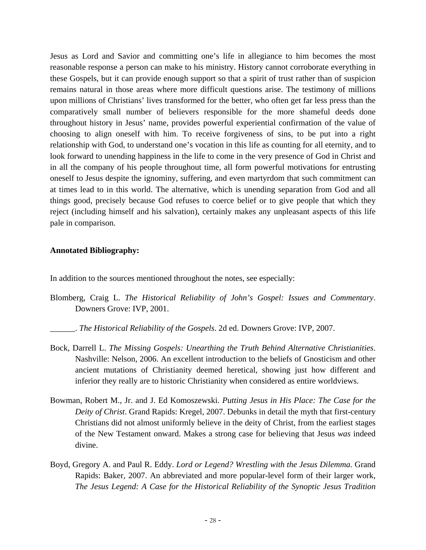Jesus as Lord and Savior and committing one's life in allegiance to him becomes the most reasonable response a person can make to his ministry. History cannot corroborate everything in these Gospels, but it can provide enough support so that a spirit of trust rather than of suspicion remains natural in those areas where more difficult questions arise. The testimony of millions upon millions of Christians' lives transformed for the better, who often get far less press than the comparatively small number of believers responsible for the more shameful deeds done throughout history in Jesus' name, provides powerful experiential confirmation of the value of choosing to align oneself with him. To receive forgiveness of sins, to be put into a right relationship with God, to understand one's vocation in this life as counting for all eternity, and to look forward to unending happiness in the life to come in the very presence of God in Christ and in all the company of his people throughout time, all form powerful motivations for entrusting oneself to Jesus despite the ignominy, suffering, and even martyrdom that such commitment can at times lead to in this world. The alternative, which is unending separation from God and all things good, precisely because God refuses to coerce belief or to give people that which they reject (including himself and his salvation), certainly makes any unpleasant aspects of this life pale in comparison.

# **Annotated Bibliography:**

In addition to the sources mentioned throughout the notes, see especially:

- Blomberg, Craig L. *The Historical Reliability of John's Gospel: Issues and Commentary*. Downers Grove: IVP, 2001.
	- \_\_\_\_\_\_. *The Historical Reliability of the Gospels*. 2d ed. Downers Grove: IVP, 2007.
- Bock, Darrell L. *The Missing Gospels: Unearthing the Truth Behind Alternative Christianities*. Nashville: Nelson, 2006. An excellent introduction to the beliefs of Gnosticism and other ancient mutations of Christianity deemed heretical, showing just how different and inferior they really are to historic Christianity when considered as entire worldviews.
- Bowman, Robert M., Jr. and J. Ed Komoszewski. *Putting Jesus in His Place: The Case for the Deity of Christ*. Grand Rapids: Kregel, 2007. Debunks in detail the myth that first-century Christians did not almost uniformly believe in the deity of Christ, from the earliest stages of the New Testament onward. Makes a strong case for believing that Jesus *was* indeed divine.
- Boyd, Gregory A. and Paul R. Eddy. *Lord or Legend? Wrestling with the Jesus Dilemma*. Grand Rapids: Baker, 2007. An abbreviated and more popular-level form of their larger work, *The Jesus Legend: A Case for the Historical Reliability of the Synoptic Jesus Tradition*